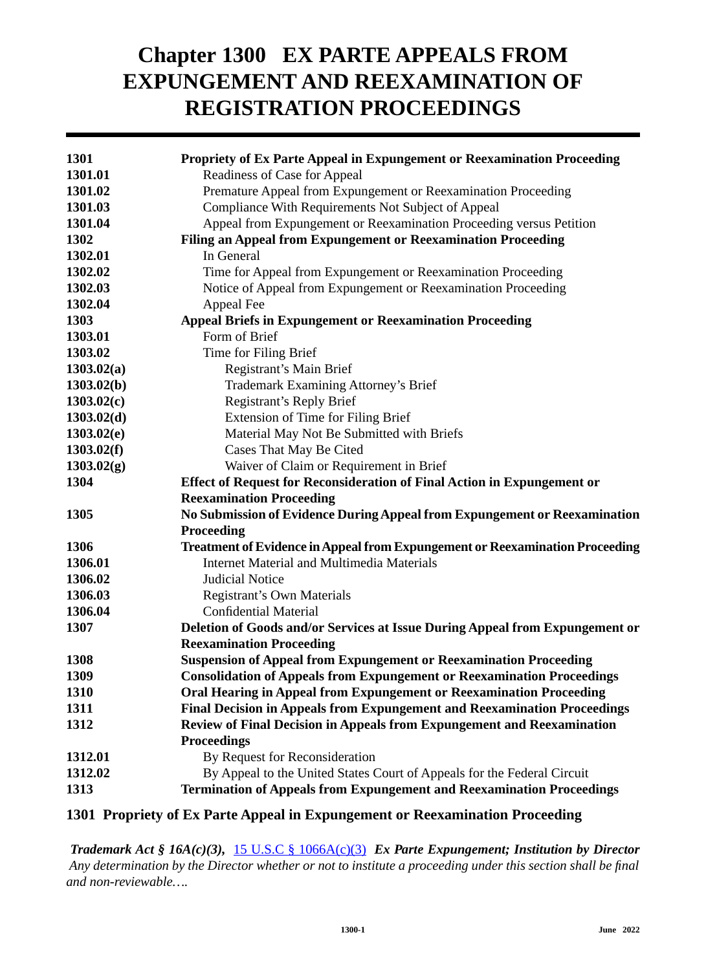# **Chapter 1300 EX PARTE APPEALS FROM EXPUNGEMENT AND REEXAMINATION OF REGISTRATION PROCEEDINGS**

| 1301       | Propriety of Ex Parte Appeal in Expungement or Reexamination Proceeding             |
|------------|-------------------------------------------------------------------------------------|
| 1301.01    | Readiness of Case for Appeal                                                        |
| 1301.02    | Premature Appeal from Expungement or Reexamination Proceeding                       |
| 1301.03    | Compliance With Requirements Not Subject of Appeal                                  |
| 1301.04    | Appeal from Expungement or Reexamination Proceeding versus Petition                 |
| 1302       | Filing an Appeal from Expungement or Reexamination Proceeding                       |
| 1302.01    | In General                                                                          |
| 1302.02    | Time for Appeal from Expungement or Reexamination Proceeding                        |
| 1302.03    | Notice of Appeal from Expungement or Reexamination Proceeding                       |
| 1302.04    | Appeal Fee                                                                          |
| 1303       | <b>Appeal Briefs in Expungement or Reexamination Proceeding</b>                     |
| 1303.01    | Form of Brief                                                                       |
| 1303.02    | Time for Filing Brief                                                               |
| 1303.02(a) | Registrant's Main Brief                                                             |
| 1303.02(b) | Trademark Examining Attorney's Brief                                                |
| 1303.02(c) | Registrant's Reply Brief                                                            |
| 1303.02(d) | Extension of Time for Filing Brief                                                  |
| 1303.02(e) | Material May Not Be Submitted with Briefs                                           |
| 1303.02(f) | Cases That May Be Cited                                                             |
| 1303.02(g) | Waiver of Claim or Requirement in Brief                                             |
| 1304       | <b>Effect of Request for Reconsideration of Final Action in Expungement or</b>      |
|            | <b>Reexamination Proceeding</b>                                                     |
| 1305       | No Submission of Evidence During Appeal from Expungement or Reexamination           |
|            | Proceeding                                                                          |
| 1306       | <b>Treatment of Evidence in Appeal from Expungement or Reexamination Proceeding</b> |
| 1306.01    | <b>Internet Material and Multimedia Materials</b>                                   |
| 1306.02    | <b>Judicial Notice</b>                                                              |
| 1306.03    | <b>Registrant's Own Materials</b>                                                   |
| 1306.04    | <b>Confidential Material</b>                                                        |
| 1307       | Deletion of Goods and/or Services at Issue During Appeal from Expungement or        |
|            | <b>Reexamination Proceeding</b>                                                     |
| 1308       | <b>Suspension of Appeal from Expungement or Reexamination Proceeding</b>            |
| 1309       | <b>Consolidation of Appeals from Expungement or Reexamination Proceedings</b>       |
| 1310       | Oral Hearing in Appeal from Expungement or Reexamination Proceeding                 |
| 1311       | <b>Final Decision in Appeals from Expungement and Reexamination Proceedings</b>     |
| 1312       | <b>Review of Final Decision in Appeals from Expungement and Reexamination</b>       |
|            | <b>Proceedings</b>                                                                  |
| 1312.01    | By Request for Reconsideration                                                      |
| 1312.02    | By Appeal to the United States Court of Appeals for the Federal Circuit             |
| 1313       | <b>Termination of Appeals from Expungement and Reexamination Proceedings</b>        |
|            |                                                                                     |

# **1301 Propriety of Ex Parte Appeal in Expungement or Reexamination Proceeding**

*Trademark Act § 16A(c)(3),* 15 U.S.C § 1066A(c)(3) *Ex Parte Expungement; Institution by Director Any determination by the Director whether or not to institute a proceeding under this section shall be final and non-reviewable….*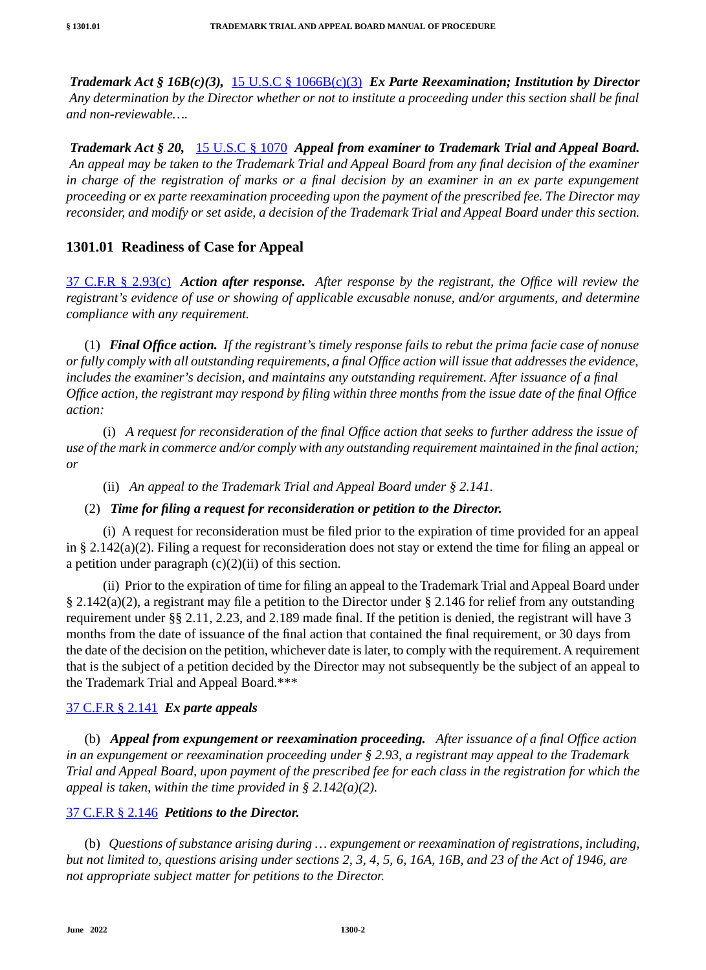*Trademark Act § 16B(c)(3),* 15 U.S.C § 1066B(c)(3) *Ex Parte Reexamination; Institution by Director Any determination by the Director whether or not to institute a proceeding under this section shall be final and non-reviewable….*

*Trademark Act § 20,* 15 U.S.C § 1070 *Appeal from examiner to Trademark Trial and Appeal Board. An appeal may be taken to the Trademark Trial and Appeal Board from any final decision of the examiner in charge of the registration of marks or a final decision by an examiner in an ex parte expungement proceeding or ex parte reexamination proceeding upon the payment of the prescribed fee. The Director may reconsider, and modify or set aside, a decision of the Trademark Trial and Appeal Board under this section.*

#### **1301.01 Readiness of Case for Appeal**

37 C.F.R § 2.93(c) *Action after response. After response by the registrant, the Office will review the registrant's evidence of use or showing of applicable excusable nonuse, and/or arguments, and determine compliance with any requirement.*

(1) *Final Office action. If the registrant's timely response fails to rebut the prima facie case of nonuse or fully comply with all outstanding requirements, a final Office action will issue that addresses the evidence, includes the examiner's decision, and maintains any outstanding requirement. After issuance of a final Office action, the registrant may respond by filing within three months from the issue date of the final Office action:*

(i) *A request for reconsideration of the final Office action that seeks to further address the issue of use of the mark in commerce and/or comply with any outstanding requirement maintained in the final action; or*

(ii) *An appeal to the Trademark Trial and Appeal Board under § 2.141.*

#### (2) *Time for filing a request for reconsideration or petition to the Director.*

(i) A request for reconsideration must be filed prior to the expiration of time provided for an appeal in § 2.142(a)(2). Filing a request for reconsideration does not stay or extend the time for filing an appeal or a petition under paragraph  $(c)(2)(ii)$  of this section.

(ii) Prior to the expiration of time for filing an appeal to the Trademark Trial and Appeal Board under § 2.142(a)(2), a registrant may file a petition to the Director under § 2.146 for relief from any outstanding requirement under §§ 2.11, 2.23, and 2.189 made final. If the petition is denied, the registrant will have 3 months from the date of issuance of the final action that contained the final requirement, or 30 days from the date of the decision on the petition, whichever date is later, to comply with the requirement. A requirement that is the subject of a petition decided by the Director may not subsequently be the subject of an appeal to the Trademark Trial and Appeal Board.\*\*\*

#### 37 C.F.R § 2.141 *Ex parte appeals*

(b) *Appeal from expungement or reexamination proceeding. After issuance of a final Office action in an expungement or reexamination proceeding under § 2.93, a registrant may appeal to the Trademark Trial and Appeal Board, upon payment of the prescribed fee for each class in the registration for which the appeal is taken, within the time provided in § 2.142(a)(2).*

#### 37 C.F.R § 2.146 *Petitions to the Director.*

(b) *Questions of substance arising during … expungement or reexamination of registrations, including, but not limited to, questions arising under sections 2, 3, 4, 5, 6, 16A, 16B, and 23 of the Act of 1946, are not appropriate subject matter for petitions to the Director.*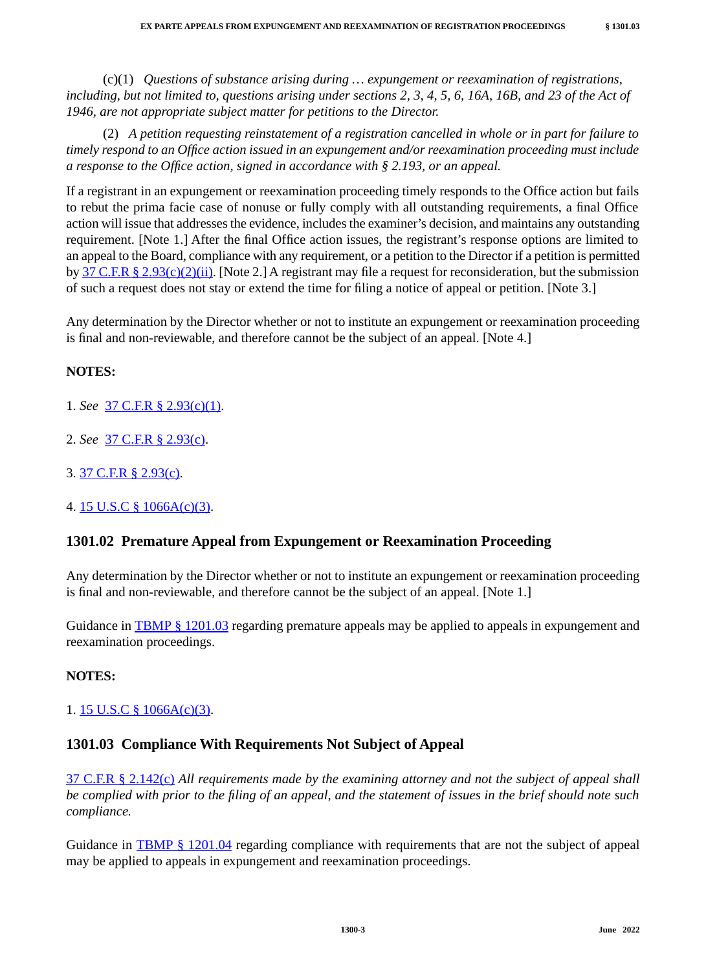(c)(1) *Questions of substance arising during … expungement or reexamination of registrations, including, but not limited to, questions arising under sections 2, 3, 4, 5, 6, 16A, 16B, and 23 of the Act of 1946, are not appropriate subject matter for petitions to the Director.*

(2) *A petition requesting reinstatement of a registration cancelled in whole or in part for failure to timely respond to an Office action issued in an expungement and/or reexamination proceeding must include a response to the Office action, signed in accordance with § 2.193, or an appeal.*

If a registrant in an expungement or reexamination proceeding timely responds to the Office action but fails to rebut the prima facie case of nonuse or fully comply with all outstanding requirements, a final Office action will issue that addresses the evidence, includes the examiner's decision, and maintains any outstanding requirement. [Note 1.] After the final Office action issues, the registrant's response options are limited to an appeal to the Board, compliance with any requirement, or a petition to the Director if a petition is permitted by 37 C.F.R § 2.93(c)(2)(ii). [Note 2.] A registrant may file a request for reconsideration, but the submission of such a request does not stay or extend the time for filing a notice of appeal or petition. [Note 3.]

Any determination by the Director whether or not to institute an expungement or reexamination proceeding is final and non-reviewable, and therefore cannot be the subject of an appeal. [Note 4.]

#### **NOTES:**

- 1. *See* 37 C.F.R § 2.93(c)(1).
- 2. *See* 37 C.F.R § 2.93(c).
- 3. 37 C.F.R § 2.93(c).
- 4. 15 U.S.C § 1066A(c)(3).

## **1301.02 Premature Appeal from Expungement or Reexamination Proceeding**

Any determination by the Director whether or not to institute an expungement or reexamination proceeding is final and non-reviewable, and therefore cannot be the subject of an appeal. [Note 1.]

Guidance in **TBMP** § 1201.03 regarding premature appeals may be applied to appeals in expungement and reexamination proceedings.

#### **NOTES:**

#### 1. 15 U.S.C § 1066A(c)(3).

## **1301.03 Compliance With Requirements Not Subject of Appeal**

37 C.F.R § 2.142(c) *All requirements made by the examining attorney and not the subject of appeal shall be complied with prior to the filing of an appeal, and the statement of issues in the brief should note such compliance.*

Guidance in TBMP § 1201.04 regarding compliance with requirements that are not the subject of appeal may be applied to appeals in expungement and reexamination proceedings.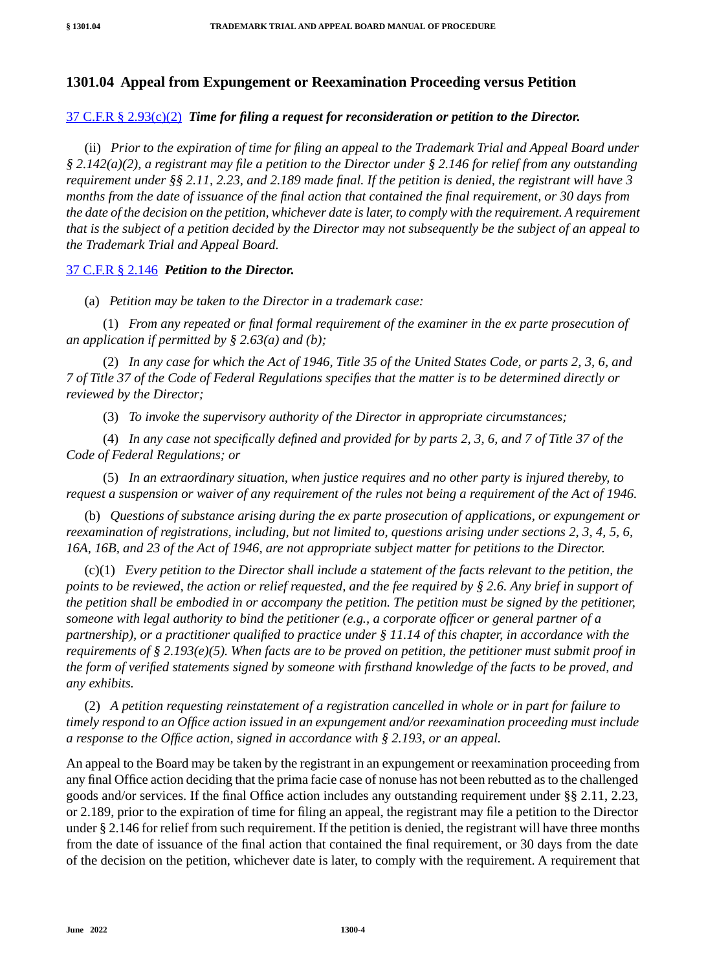## **1301.04 Appeal from Expungement or Reexamination Proceeding versus Petition**

#### 37 C.F.R § 2.93(c)(2) *Time for filing a request for reconsideration or petition to the Director.*

(ii) *Prior to the expiration of time for filing an appeal to the Trademark Trial and Appeal Board under § 2.142(a)(2), a registrant may file a petition to the Director under § 2.146 for relief from any outstanding requirement under §§ 2.11, 2.23, and 2.189 made final. If the petition is denied, the registrant will have 3 months from the date of issuance of the final action that contained the final requirement, or 30 days from the date of the decision on the petition, whichever date is later, to comply with the requirement. A requirement that is the subject of a petition decided by the Director may not subsequently be the subject of an appeal to the Trademark Trial and Appeal Board.*

#### 37 C.F.R § 2.146 *Petition to the Director.*

(a) *Petition may be taken to the Director in a trademark case:*

(1) *From any repeated or final formal requirement of the examiner in the ex parte prosecution of an application if permitted by § 2.63(a) and (b);*

(2) *In any case for which the Act of 1946, Title 35 of the United States Code, or parts 2, 3, 6, and 7 of Title 37 of the Code of Federal Regulations specifies that the matter is to be determined directly or reviewed by the Director;*

(3) *To invoke the supervisory authority of the Director in appropriate circumstances;*

(4) *In any case not specifically defined and provided for by parts 2, 3, 6, and 7 of Title 37 of the Code of Federal Regulations; or*

(5) *In an extraordinary situation, when justice requires and no other party is injured thereby, to request a suspension or waiver of any requirement of the rules not being a requirement of the Act of 1946.*

(b) *Questions of substance arising during the ex parte prosecution of applications, or expungement or reexamination of registrations, including, but not limited to, questions arising under sections 2, 3, 4, 5, 6, 16A, 16B, and 23 of the Act of 1946, are not appropriate subject matter for petitions to the Director.*

(c)(1) *Every petition to the Director shall include a statement of the facts relevant to the petition, the points to be reviewed, the action or relief requested, and the fee required by § 2.6. Any brief in support of the petition shall be embodied in or accompany the petition. The petition must be signed by the petitioner, someone with legal authority to bind the petitioner (e.g., a corporate officer or general partner of a partnership), or a practitioner qualified to practice under § 11.14 of this chapter, in accordance with the requirements of § 2.193(e)(5). When facts are to be proved on petition, the petitioner must submit proof in the form of verified statements signed by someone with firsthand knowledge of the facts to be proved, and any exhibits.*

(2) *A petition requesting reinstatement of a registration cancelled in whole or in part for failure to timely respond to an Office action issued in an expungement and/or reexamination proceeding must include a response to the Office action, signed in accordance with § 2.193, or an appeal.*

An appeal to the Board may be taken by the registrant in an expungement or reexamination proceeding from any final Office action deciding that the prima facie case of nonuse has not been rebutted as to the challenged goods and/or services. If the final Office action includes any outstanding requirement under §§ 2.11, 2.23, or 2.189, prior to the expiration of time for filing an appeal, the registrant may file a petition to the Director under § 2.146 for relief from such requirement. If the petition is denied, the registrant will have three months from the date of issuance of the final action that contained the final requirement, or 30 days from the date of the decision on the petition, whichever date is later, to comply with the requirement. A requirement that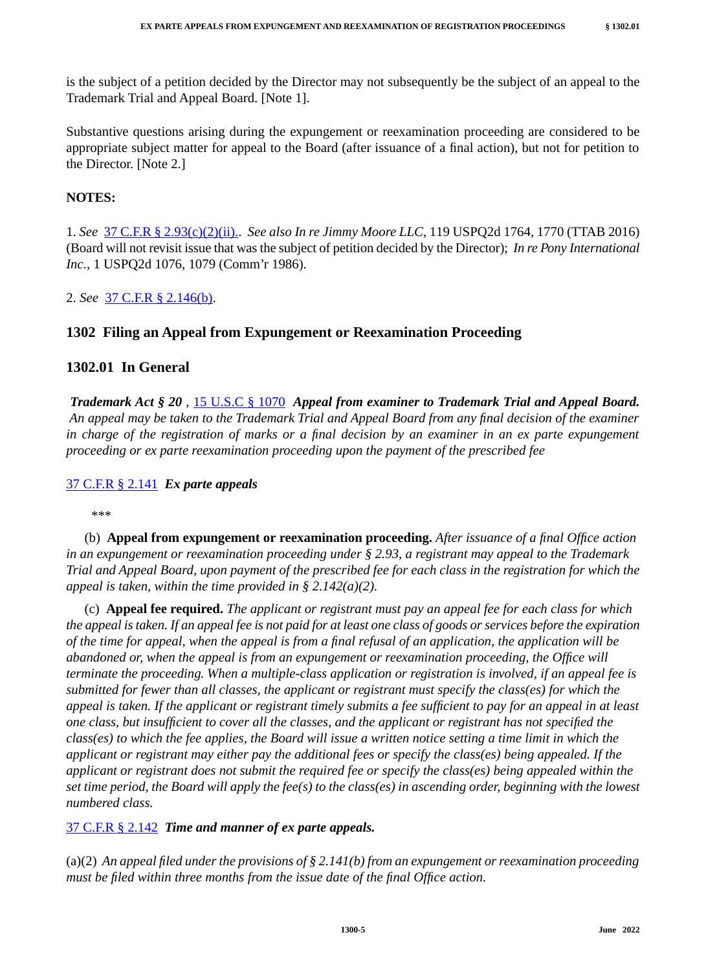is the subject of a petition decided by the Director may not subsequently be the subject of an appeal to the Trademark Trial and Appeal Board. [Note 1].

Substantive questions arising during the expungement or reexamination proceeding are considered to be appropriate subject matter for appeal to the Board (after issuance of a final action), but not for petition to the Director. [Note 2.]

#### **NOTES:**

1. *See* 37 C.F.R § 2.93(c)(2)(ii).. *See also In re Jimmy Moore LLC*, 119 USPQ2d 1764, 1770 (TTAB 2016) (Board will not revisit issue that was the subject of petition decided by the Director); *In re Pony International Inc.*, 1 USPQ2d 1076, 1079 (Comm'r 1986).

2. *See* 37 C.F.R § 2.146(b).

## **1302 Filing an Appeal from Expungement or Reexamination Proceeding**

## **1302.01 In General**

*Trademark Act § 20* , 15 U.S.C § 1070 *Appeal from examiner to Trademark Trial and Appeal Board. An appeal may be taken to the Trademark Trial and Appeal Board from any final decision of the examiner in charge of the registration of marks or a final decision by an examiner in an ex parte expungement proceeding or ex parte reexamination proceeding upon the payment of the prescribed fee*

#### 37 C.F.R § 2.141 *Ex parte appeals*

\*\*\*

(b) **Appeal from expungement or reexamination proceeding.** *After issuance of a final Office action in an expungement or reexamination proceeding under § 2.93, a registrant may appeal to the Trademark Trial and Appeal Board, upon payment of the prescribed fee for each class in the registration for which the appeal is taken, within the time provided in § 2.142(a)(2).*

(c) **Appeal fee required.** *The applicant or registrant must pay an appeal fee for each class for which the appeal is taken. If an appeal fee is not paid for at least one class of goods or services before the expiration of the time for appeal, when the appeal is from a final refusal of an application, the application will be abandoned or, when the appeal is from an expungement or reexamination proceeding, the Office will terminate the proceeding. When a multiple-class application or registration is involved, if an appeal fee is submitted for fewer than all classes, the applicant or registrant must specify the class(es) for which the appeal is taken. If the applicant or registrant timely submits a fee sufficient to pay for an appeal in at least one class, but insufficient to cover all the classes, and the applicant or registrant has not specified the class(es) to which the fee applies, the Board will issue a written notice setting a time limit in which the applicant or registrant may either pay the additional fees or specify the class(es) being appealed. If the applicant or registrant does not submit the required fee or specify the class(es) being appealed within the set time period, the Board will apply the fee(s) to the class(es) in ascending order, beginning with the lowest numbered class.*

#### 37 C.F.R § 2.142 *Time and manner of ex parte appeals.*

(a)(2) *An appeal filed under the provisions of § 2.141(b) from an expungement or reexamination proceeding must be filed within three months from the issue date of the final Office action.*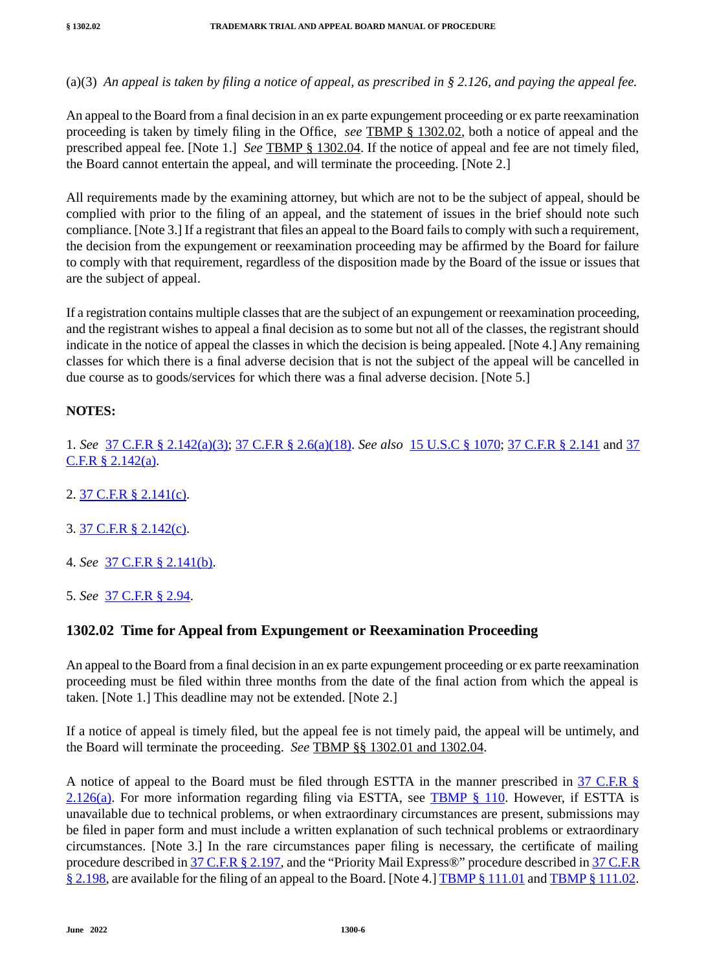(a)(3) *An appeal is taken by filing a notice of appeal, as prescribed in § 2.126, and paying the appeal fee.*

An appeal to the Board from a final decision in an ex parte expungement proceeding or ex parte reexamination proceeding is taken by timely filing in the Office, *see* TBMP § 1302.02, both a notice of appeal and the prescribed appeal fee. [Note 1.] *See* TBMP § 1302.04. If the notice of appeal and fee are not timely filed, the Board cannot entertain the appeal, and will terminate the proceeding. [Note 2.]

All requirements made by the examining attorney, but which are not to be the subject of appeal, should be complied with prior to the filing of an appeal, and the statement of issues in the brief should note such compliance. [Note 3.] If a registrant that files an appeal to the Board fails to comply with such a requirement, the decision from the expungement or reexamination proceeding may be affirmed by the Board for failure to comply with that requirement, regardless of the disposition made by the Board of the issue or issues that are the subject of appeal.

If a registration contains multiple classes that are the subject of an expungement or reexamination proceeding, and the registrant wishes to appeal a final decision as to some but not all of the classes, the registrant should indicate in the notice of appeal the classes in which the decision is being appealed. [Note 4.] Any remaining classes for which there is a final adverse decision that is not the subject of the appeal will be cancelled in due course as to goods/services for which there was a final adverse decision. [Note 5.]

## **NOTES:**

1. *See* 37 C.F.R § 2.142(a)(3); 37 C.F.R § 2.6(a)(18). *See also* 15 U.S.C § 1070; 37 C.F.R § 2.141 and 37  $C.F.R \S 2.142(a)$ .

- 2. 37 C.F.R § 2.141(c).
- 3. 37 C.F.R § 2.142(c).
- <span id="page-5-0"></span>4. *See* 37 C.F.R § 2.141(b).
- 5. *See* 37 C.F.R § 2.94.

# **1302.02 Time for Appeal from Expungement or Reexamination Proceeding**

An appeal to the Board from a final decision in an ex parte expungement proceeding or ex parte reexamination proceeding must be filed within three months from the date of the final action from which the appeal is taken. [Note 1.] This deadline may not be extended. [Note 2.]

If a notice of appeal is timely filed, but the appeal fee is not timely paid, the appeal will be untimely, and the Board will terminate the proceeding. *See* TBMP §§ 1302.01 and 1302.04.

A notice of appeal to the Board must be filed through ESTTA in the manner prescribed in 37 C.F.R § 2.126(a). For more information regarding filing via ESTTA, see TBMP  $\S$  110. However, if ESTTA is unavailable due to technical problems, or when extraordinary circumstances are present, submissions may be filed in paper form and must include a written explanation of such technical problems or extraordinary circumstances. [Note 3.] In the rare circumstances paper filing is necessary, the certificate of mailing procedure described in 37 C.F.R § 2.197, and the "Priority Mail Express®" procedure described in 37 C.F.R § 2.198, are available for the filing of an appeal to the Board. [Note 4.] TBMP § 111.01 and TBMP § 111.02.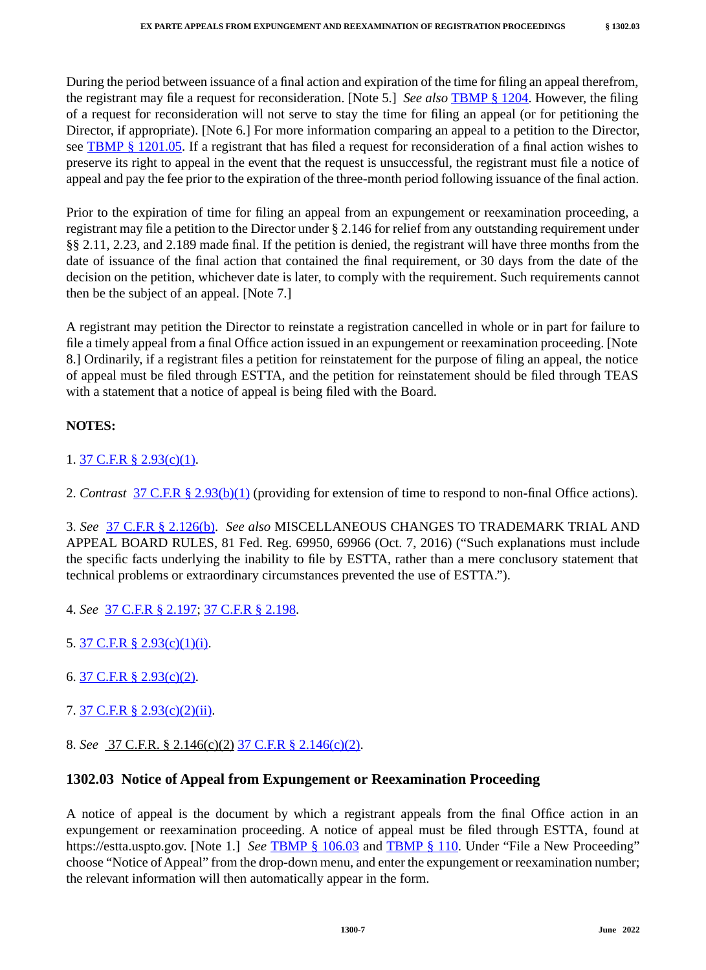During the period between issuance of a final action and expiration of the time for filing an appeal therefrom, the registrant may file a request for reconsideration. [Note 5.] *See also* TBMP § 1204. However, the filing of a request for reconsideration will not serve to stay the time for filing an appeal (or for petitioning the Director, if appropriate). [Note 6.] For more information comparing an appeal to a petition to the Director, see TBMP  $\S$  1201.05. If a registrant that has filed a request for reconsideration of a final action wishes to preserve its right to appeal in the event that the request is unsuccessful, the registrant must file a notice of appeal and pay the fee prior to the expiration of the three-month period following issuance of the final action.

Prior to the expiration of time for filing an appeal from an expungement or reexamination proceeding, a registrant may file a petition to the Director under § 2.146 for relief from any outstanding requirement under §§ 2.11, 2.23, and 2.189 made final. If the petition is denied, the registrant will have three months from the date of issuance of the final action that contained the final requirement, or 30 days from the date of the decision on the petition, whichever date is later, to comply with the requirement. Such requirements cannot then be the subject of an appeal. [Note 7.]

A registrant may petition the Director to reinstate a registration cancelled in whole or in part for failure to file a timely appeal from a final Office action issued in an expungement or reexamination proceeding. [Note 8.] Ordinarily, if a registrant files a petition for reinstatement for the purpose of filing an appeal, the notice of appeal must be filed through ESTTA, and the petition for reinstatement should be filed through TEAS with a statement that a notice of appeal is being filed with the Board.

## **NOTES:**

1. 37 C.F.R § 2.93(c)(1).

2. *Contrast* 37 C.F.R § 2.93(b)(1) (providing for extension of time to respond to non-final Office actions).

3. *See* 37 C.F.R § 2.126(b). *See also* MISCELLANEOUS CHANGES TO TRADEMARK TRIAL AND APPEAL BOARD RULES, 81 Fed. Reg. 69950, 69966 (Oct. 7, 2016) ("Such explanations must include the specific facts underlying the inability to file by ESTTA, rather than a mere conclusory statement that technical problems or extraordinary circumstances prevented the use of ESTTA.").

- 4. *See* 37 C.F.R § 2.197; 37 C.F.R § 2.198.
- 5. 37 C.F.R § 2.93(c)(1)(i).
- 6. 37 C.F.R § 2.93(c)(2).
- 7. 37 C.F.R § 2.93(c)(2)(ii).
- 8. *See* 37 C.F.R. § 2.146(c)(2) 37 C.F.R § 2.146(c)(2).

# **1302.03 Notice of Appeal from Expungement or Reexamination Proceeding**

A notice of appeal is the document by which a registrant appeals from the final Office action in an expungement or reexamination proceeding. A notice of appeal must be filed through ESTTA, found at https://estta.uspto.gov. [Note 1.] *See* TBMP § 106.03 and TBMP § 110. Under "File a New Proceeding" choose "Notice of Appeal" from the drop-down menu, and enter the expungement or reexamination number; the relevant information will then automatically appear in the form.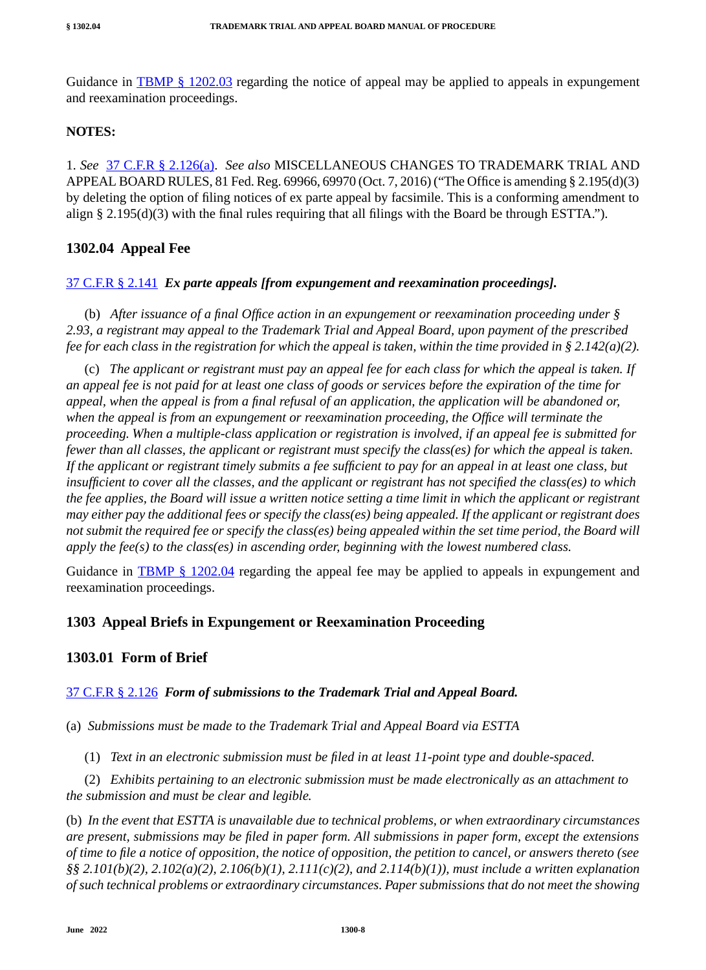Guidance in TBMP  $\S$  1202.03 regarding the notice of appeal may be applied to appeals in expungement and reexamination proceedings.

#### **NOTES:**

1. *See* 37 C.F.R § 2.126(a). *See also* MISCELLANEOUS CHANGES TO TRADEMARK TRIAL AND APPEAL BOARD RULES, 81 Fed. Reg. 69966, 69970 (Oct. 7, 2016) ("The Office is amending § 2.195(d)(3) by deleting the option of filing notices of ex parte appeal by facsimile. This is a conforming amendment to align § 2.195(d)(3) with the final rules requiring that all filings with the Board be through ESTTA.").

## **1302.04 Appeal Fee**

#### 37 C.F.R § 2.141 *Ex parte appeals [from expungement and reexamination proceedings].*

(b) *After issuance of a final Office action in an expungement or reexamination proceeding under § 2.93, a registrant may appeal to the Trademark Trial and Appeal Board, upon payment of the prescribed fee for each class in the registration for which the appeal is taken, within the time provided in § 2.142(a)(2).*

(c) *The applicant or registrant must pay an appeal fee for each class for which the appeal is taken. If an appeal fee is not paid for at least one class of goods or services before the expiration of the time for appeal, when the appeal is from a final refusal of an application, the application will be abandoned or, when the appeal is from an expungement or reexamination proceeding, the Office will terminate the proceeding. When a multiple-class application or registration is involved, if an appeal fee is submitted for fewer than all classes, the applicant or registrant must specify the class(es) for which the appeal is taken. If the applicant or registrant timely submits a fee sufficient to pay for an appeal in at least one class, but insufficient to cover all the classes, and the applicant or registrant has not specified the class(es) to which the fee applies, the Board will issue a written notice setting a time limit in which the applicant or registrant may either pay the additional fees or specify the class(es) being appealed. If the applicant or registrant does not submit the required fee or specify the class(es) being appealed within the set time period, the Board will apply the fee(s) to the class(es) in ascending order, beginning with the lowest numbered class.*

Guidance in TBMP § 1202.04 regarding the appeal fee may be applied to appeals in expungement and reexamination proceedings.

## **1303 Appeal Briefs in Expungement or Reexamination Proceeding**

## **1303.01 Form of Brief**

#### 37 C.F.R § 2.126 *Form of submissions to the Trademark Trial and Appeal Board.*

(a) *Submissions must be made to the Trademark Trial and Appeal Board via ESTTA*

(1) *Text in an electronic submission must be filed in at least 11-point type and double-spaced.*

(2) *Exhibits pertaining to an electronic submission must be made electronically as an attachment to the submission and must be clear and legible.*

(b) *In the event that ESTTA is unavailable due to technical problems, or when extraordinary circumstances are present, submissions may be filed in paper form. All submissions in paper form, except the extensions of time to file a notice of opposition, the notice of opposition, the petition to cancel, or answers thereto (see §§ 2.101(b)(2), 2.102(a)(2), 2.106(b)(1), 2.111(c)(2), and 2.114(b)(1)), must include a written explanation of such technical problems or extraordinary circumstances. Paper submissions that do not meet the showing*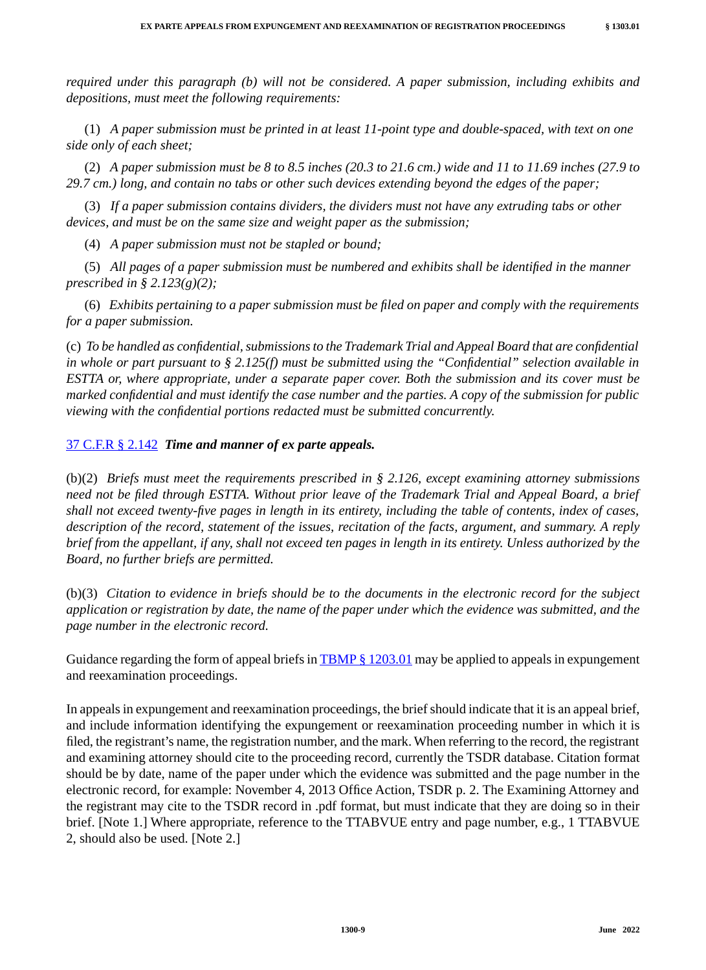*required under this paragraph (b) will not be considered. A paper submission, including exhibits and depositions, must meet the following requirements:*

(1) *A paper submission must be printed in at least 11-point type and double-spaced, with text on one side only of each sheet;*

(2) *A paper submission must be 8 to 8.5 inches (20.3 to 21.6 cm.) wide and 11 to 11.69 inches (27.9 to 29.7 cm.) long, and contain no tabs or other such devices extending beyond the edges of the paper;*

(3) *If a paper submission contains dividers, the dividers must not have any extruding tabs or other devices, and must be on the same size and weight paper as the submission;*

(4) *A paper submission must not be stapled or bound;*

(5) *All pages of a paper submission must be numbered and exhibits shall be identified in the manner prescribed in § 2.123(g)(2);*

(6) *Exhibits pertaining to a paper submission must be filed on paper and comply with the requirements for a paper submission.*

(c) *To be handled as confidential, submissions to the Trademark Trial and Appeal Board that are confidential in whole or part pursuant to § 2.125(f) must be submitted using the "Confidential" selection available in ESTTA or, where appropriate, under a separate paper cover. Both the submission and its cover must be marked confidential and must identify the case number and the parties. A copy of the submission for public viewing with the confidential portions redacted must be submitted concurrently.*

#### 37 C.F.R § 2.142 *Time and manner of ex parte appeals.*

(b)(2) *Briefs must meet the requirements prescribed in § 2.126, except examining attorney submissions need not be filed through ESTTA. Without prior leave of the Trademark Trial and Appeal Board, a brief shall not exceed twenty-five pages in length in its entirety, including the table of contents, index of cases, description of the record, statement of the issues, recitation of the facts, argument, and summary. A reply brief from the appellant, if any, shall not exceed ten pages in length in its entirety. Unless authorized by the Board, no further briefs are permitted.*

(b)(3) *Citation to evidence in briefs should be to the documents in the electronic record for the subject application or registration by date, the name of the paper under which the evidence was submitted, and the page number in the electronic record.*

Guidance regarding the form of appeal briefs in  $\tt{TBMP \& 1203.01}$  may be applied to appeals in expungement and reexamination proceedings.

In appeals in expungement and reexamination proceedings, the brief should indicate that it is an appeal brief, and include information identifying the expungement or reexamination proceeding number in which it is filed, the registrant's name, the registration number, and the mark. When referring to the record, the registrant and examining attorney should cite to the proceeding record, currently the TSDR database. Citation format should be by date, name of the paper under which the evidence was submitted and the page number in the electronic record, for example: November 4, 2013 Office Action, TSDR p. 2. The Examining Attorney and the registrant may cite to the TSDR record in .pdf format, but must indicate that they are doing so in their brief. [Note 1.] Where appropriate, reference to the TTABVUE entry and page number, e.g., 1 TTABVUE 2, should also be used. [Note 2.]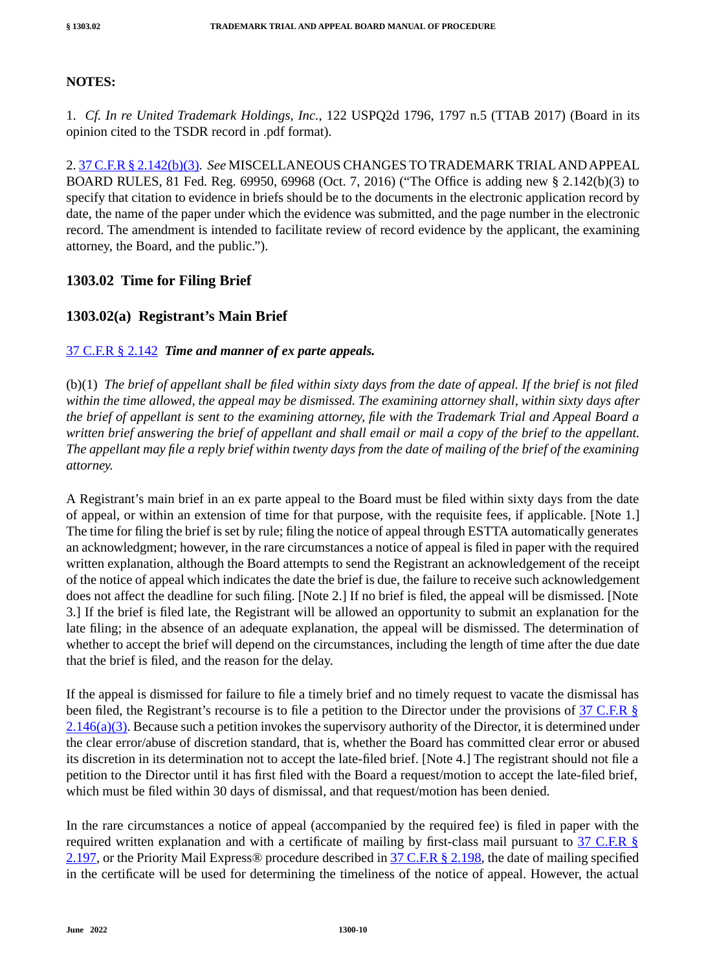#### **NOTES:**

1. *Cf. In re United Trademark Holdings, Inc.*, 122 USPQ2d 1796, 1797 n.5 (TTAB 2017) (Board in its opinion cited to the TSDR record in .pdf format).

2. 37 C.F.R § 2.142(b)(3). *See* MISCELLANEOUS CHANGES TO TRADEMARK TRIAL AND APPEAL BOARD RULES, 81 Fed. Reg. 69950, 69968 (Oct. 7, 2016) ("The Office is adding new § 2.142(b)(3) to specify that citation to evidence in briefs should be to the documents in the electronic application record by date, the name of the paper under which the evidence was submitted, and the page number in the electronic record. The amendment is intended to facilitate review of record evidence by the applicant, the examining attorney, the Board, and the public.").

## **1303.02 Time for Filing Brief**

#### **1303.02(a) Registrant's Main Brief**

#### 37 C.F.R § 2.142 *Time and manner of ex parte appeals.*

(b)(1) *The brief of appellant shall be filed within sixty days from the date of appeal. If the brief is not filed within the time allowed, the appeal may be dismissed. The examining attorney shall, within sixty days after the brief of appellant is sent to the examining attorney, file with the Trademark Trial and Appeal Board a written brief answering the brief of appellant and shall email or mail a copy of the brief to the appellant. The appellant may file a reply brief within twenty days from the date of mailing of the brief of the examining attorney.*

A Registrant's main brief in an ex parte appeal to the Board must be filed within sixty days from the date of appeal, or within an extension of time for that purpose, with the requisite fees, if applicable. [Note 1.] The time for filing the brief is set by rule; filing the notice of appeal through ESTTA automatically generates an acknowledgment; however, in the rare circumstances a notice of appeal is filed in paper with the required written explanation, although the Board attempts to send the Registrant an acknowledgement of the receipt of the notice of appeal which indicates the date the brief is due, the failure to receive such acknowledgement does not affect the deadline for such filing. [Note 2.] If no brief is filed, the appeal will be dismissed. [Note 3.] If the brief is filed late, the Registrant will be allowed an opportunity to submit an explanation for the late filing; in the absence of an adequate explanation, the appeal will be dismissed. The determination of whether to accept the brief will depend on the circumstances, including the length of time after the due date that the brief is filed, and the reason for the delay.

If the appeal is dismissed for failure to file a timely brief and no timely request to vacate the dismissal has been filed, the Registrant's recourse is to file a petition to the Director under the provisions of 37 C.F.R §  $2.146(a)(3)$ . Because such a petition invokes the supervisory authority of the Director, it is determined under the clear error/abuse of discretion standard, that is, whether the Board has committed clear error or abused its discretion in its determination not to accept the late-filed brief. [Note 4.] The registrant should not file a petition to the Director until it has first filed with the Board a request/motion to accept the late-filed brief, which must be filed within 30 days of dismissal, and that request/motion has been denied.

In the rare circumstances a notice of appeal (accompanied by the required fee) is filed in paper with the required written explanation and with a certificate of mailing by first-class mail pursuant to 37 C.F.R § 2.197, or the Priority Mail Express<sup>®</sup> procedure described in 37 C.F.R § 2.198, the date of mailing specified in the certificate will be used for determining the timeliness of the notice of appeal. However, the actual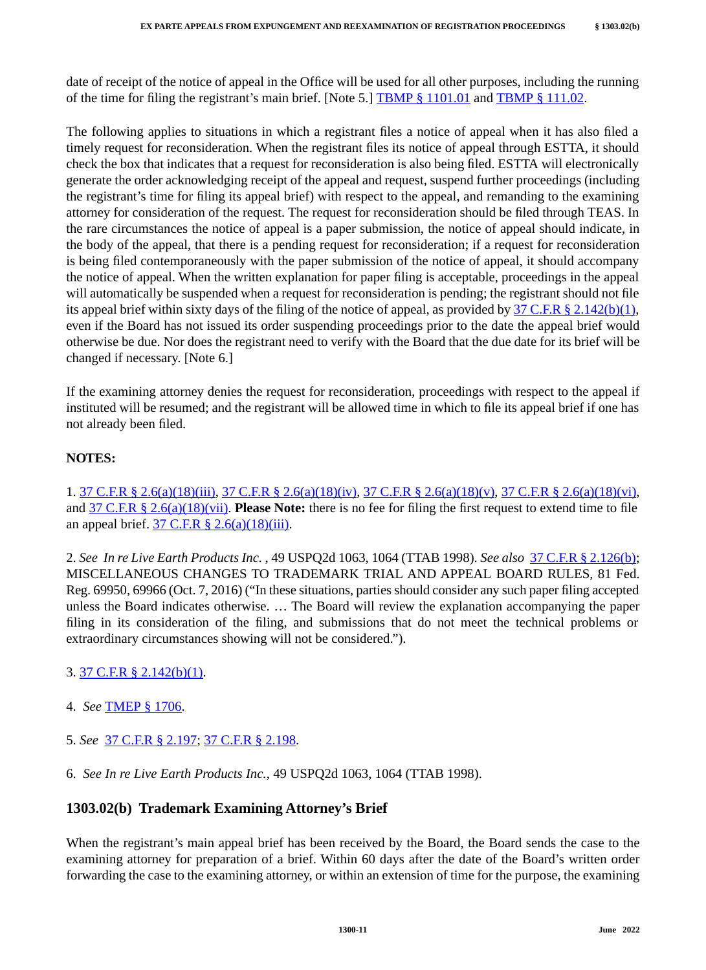date of receipt of the notice of appeal in the Office will be used for all other purposes, including the running of the time for filing the registrant's main brief. [Note 5.] TBMP  $\S$  1101.01 and TBMP  $\S$  111.02.

The following applies to situations in which a registrant files a notice of appeal when it has also filed a timely request for reconsideration. When the registrant files its notice of appeal through ESTTA, it should check the box that indicates that a request for reconsideration is also being filed. ESTTA will electronically generate the order acknowledging receipt of the appeal and request, suspend further proceedings (including the registrant's time for filing its appeal brief) with respect to the appeal, and remanding to the examining attorney for consideration of the request. The request for reconsideration should be filed through TEAS. In the rare circumstances the notice of appeal is a paper submission, the notice of appeal should indicate, in the body of the appeal, that there is a pending request for reconsideration; if a request for reconsideration is being filed contemporaneously with the paper submission of the notice of appeal, it should accompany the notice of appeal. When the written explanation for paper filing is acceptable, proceedings in the appeal will automatically be suspended when a request for reconsideration is pending; the registrant should not file its appeal brief within sixty days of the filing of the notice of appeal, as provided by  $37 \text{ C.F.R } \text{\&} 2.142(b)(1)$ , even if the Board has not issued its order suspending proceedings prior to the date the appeal brief would otherwise be due. Nor does the registrant need to verify with the Board that the due date for its brief will be changed if necessary. [Note 6.]

If the examining attorney denies the request for reconsideration, proceedings with respect to the appeal if instituted will be resumed; and the registrant will be allowed time in which to file its appeal brief if one has not already been filed.

## **NOTES:**

1. 37 C.F.R § 2.6(a)(18)(iii), 37 C.F.R § 2.6(a)(18)(iv), 37 C.F.R § 2.6(a)(18)(v), 37 C.F.R § 2.6(a)(18)(vi), and 37 C.F.R § 2.6(a)(18)(vii). **Please Note:** there is no fee for filing the first request to extend time to file an appeal brief.  $37 \text{ C.F.R } \frac{8}{9}$  2.6(a)(18)(iii).

2. *See In re Live Earth Products Inc.* , 49 USPQ2d 1063, 1064 (TTAB 1998). *See also* 37 C.F.R § 2.126(b); MISCELLANEOUS CHANGES TO TRADEMARK TRIAL AND APPEAL BOARD RULES, 81 Fed. Reg. 69950, 69966 (Oct. 7, 2016) ("In these situations, parties should consider any such paper filing accepted unless the Board indicates otherwise. … The Board will review the explanation accompanying the paper filing in its consideration of the filing, and submissions that do not meet the technical problems or extraordinary circumstances showing will not be considered.").

## 3. 37 C.F.R § 2.142(b)(1).

- 4. *See* TMEP § 1706.
- 5. *See* 37 C.F.R § 2.197; 37 C.F.R § 2.198.
- 6. *See In re Live Earth Products Inc.*, 49 USPQ2d 1063, 1064 (TTAB 1998).

## **1303.02(b) Trademark Examining Attorney's Brief**

When the registrant's main appeal brief has been received by the Board, the Board sends the case to the examining attorney for preparation of a brief. Within 60 days after the date of the Board's written order forwarding the case to the examining attorney, or within an extension of time for the purpose, the examining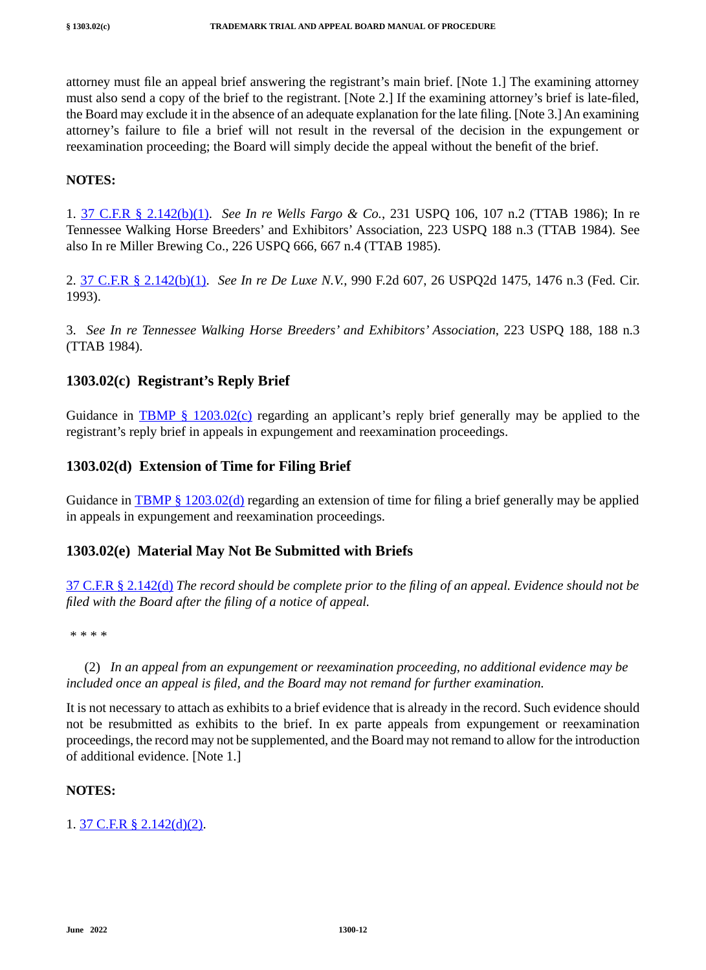attorney must file an appeal brief answering the registrant's main brief. [Note 1.] The examining attorney must also send a copy of the brief to the registrant. [Note 2.] If the examining attorney's brief is late-filed, the Board may exclude it in the absence of an adequate explanation for the late filing. [Note 3.] An examining attorney's failure to file a brief will not result in the reversal of the decision in the expungement or reexamination proceeding; the Board will simply decide the appeal without the benefit of the brief.

#### **NOTES:**

1. 37 C.F.R § 2.142(b)(1). *See In re Wells Fargo & Co.*, 231 USPQ 106, 107 n.2 (TTAB 1986); In re Tennessee Walking Horse Breeders' and Exhibitors' Association, 223 USPQ 188 n.3 (TTAB 1984). See also In re Miller Brewing Co., 226 USPQ 666, 667 n.4 (TTAB 1985).

2. 37 C.F.R § 2.142(b)(1). *See In re De Luxe N.V.*, 990 F.2d 607, 26 USPQ2d 1475, 1476 n.3 (Fed. Cir. 1993).

3. *See In re Tennessee Walking Horse Breeders' and Exhibitors' Association*, 223 USPQ 188, 188 n.3 (TTAB 1984).

## **1303.02(c) Registrant's Reply Brief**

Guidance in **TBMP** §  $1203.02(c)$  regarding an applicant's reply brief generally may be applied to the registrant's reply brief in appeals in expungement and reexamination proceedings.

#### **1303.02(d) Extension of Time for Filing Brief**

Guidance in TBMP § 1203.02(d) regarding an extension of time for filing a brief generally may be applied in appeals in expungement and reexamination proceedings.

#### **1303.02(e) Material May Not Be Submitted with Briefs**

37 C.F.R § 2.142(d) *The record should be complete prior to the filing of an appeal. Evidence should not be filed with the Board after the filing of a notice of appeal.*

*\* \* \* \**

(2) *In an appeal from an expungement or reexamination proceeding, no additional evidence may be included once an appeal is filed, and the Board may not remand for further examination.*

It is not necessary to attach as exhibits to a brief evidence that is already in the record. Such evidence should not be resubmitted as exhibits to the brief. In ex parte appeals from expungement or reexamination proceedings, the record may not be supplemented, and the Board may not remand to allow for the introduction of additional evidence. [Note 1.]

#### **NOTES:**

1. 37 C.F.R § 2.142(d)(2).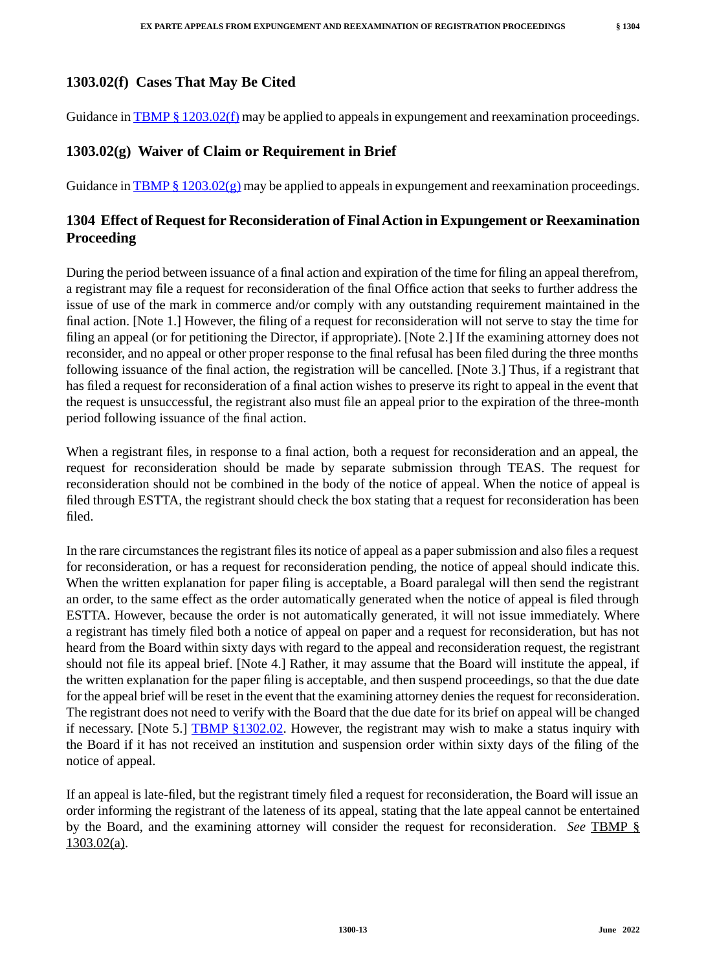Guidance in TBMP § 1203.02(f) may be applied to appeals in expungement and reexamination proceedings.

# **1303.02(g) Waiver of Claim or Requirement in Brief**

Guidance in TBMP § 1203.02 $(g)$  may be applied to appeals in expungement and reexamination proceedings.

# **1304 Effect of Request for Reconsideration of Final Action in Expungement or Reexamination Proceeding**

During the period between issuance of a final action and expiration of the time for filing an appeal therefrom, a registrant may file a request for reconsideration of the final Office action that seeks to further address the issue of use of the mark in commerce and/or comply with any outstanding requirement maintained in the final action. [Note 1.] However, the filing of a request for reconsideration will not serve to stay the time for filing an appeal (or for petitioning the Director, if appropriate). [Note 2.] If the examining attorney does not reconsider, and no appeal or other proper response to the final refusal has been filed during the three months following issuance of the final action, the registration will be cancelled. [Note 3.] Thus, if a registrant that has filed a request for reconsideration of a final action wishes to preserve its right to appeal in the event that the request is unsuccessful, the registrant also must file an appeal prior to the expiration of the three-month period following issuance of the final action.

When a registrant files, in response to a final action, both a request for reconsideration and an appeal, the request for reconsideration should be made by separate submission through TEAS. The request for reconsideration should not be combined in the body of the notice of appeal. When the notice of appeal is filed through ESTTA, the registrant should check the box stating that a request for reconsideration has been filed.

In the rare circumstances the registrant files its notice of appeal as a paper submission and also files a request for reconsideration, or has a request for reconsideration pending, the notice of appeal should indicate this. When the written explanation for paper filing is acceptable, a Board paralegal will then send the registrant an order, to the same effect as the order automatically generated when the notice of appeal is filed through ESTTA. However, because the order is not automatically generated, it will not issue immediately. Where a registrant has timely filed both a notice of appeal on paper and a request for reconsideration, but has not heard from the Board within sixty days with regard to the appeal and reconsideration request, the registrant should not file its appeal brief. [Note 4.] Rather, it may assume that the Board will institute the appeal, if the written explanation for the paper filing is acceptable, and then suspend proceedings, so that the due date for the appeal brief will be reset in the event that the examining attorney denies the request for reconsideration. The registrant does not need to verify with the Board that the due date for its brief on appeal will be changed if necessary. [Note 5.]  $\tt{TBMP}_{\S}$ 1302.02. However, the registrant may wish to make a status inquiry with the Board if it has not received an institution and suspension order within sixty days of the filing of the notice of appeal.

If an appeal is late-filed, but the registrant timely filed a request for reconsideration, the Board will issue an order informing the registrant of the lateness of its appeal, stating that the late appeal cannot be entertained by the Board, and the examining attorney will consider the request for reconsideration. *See* TBMP § 1303.02(a).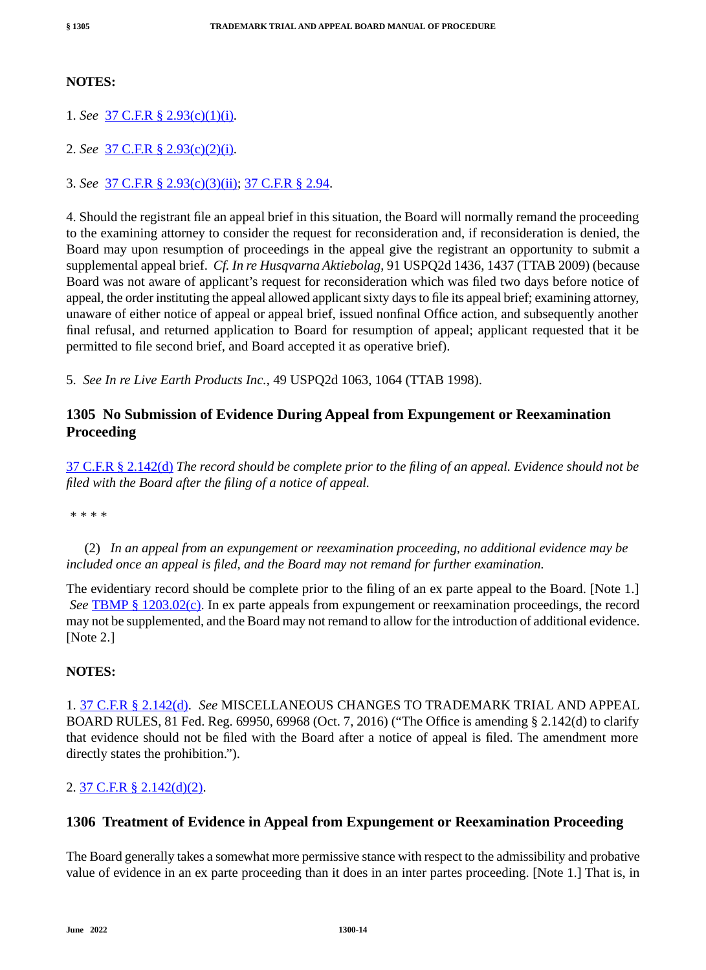#### **NOTES:**

1. *See* 37 C.F.R § 2.93(c)(1)(i).

2. *See* 37 C.F.R § 2.93(c)(2)(i).

3. *See* 37 C.F.R § 2.93(c)(3)(ii); 37 C.F.R § 2.94.

4. Should the registrant file an appeal brief in this situation, the Board will normally remand the proceeding to the examining attorney to consider the request for reconsideration and, if reconsideration is denied, the Board may upon resumption of proceedings in the appeal give the registrant an opportunity to submit a supplemental appeal brief. *Cf. In re Husqvarna Aktiebolag*, 91 USPQ2d 1436, 1437 (TTAB 2009) (because Board was not aware of applicant's request for reconsideration which was filed two days before notice of appeal, the order instituting the appeal allowed applicant sixty days to file its appeal brief; examining attorney, unaware of either notice of appeal or appeal brief, issued nonfinal Office action, and subsequently another final refusal, and returned application to Board for resumption of appeal; applicant requested that it be permitted to file second brief, and Board accepted it as operative brief).

5. *See In re Live Earth Products Inc.*, 49 USPQ2d 1063, 1064 (TTAB 1998).

## **1305 No Submission of Evidence During Appeal from Expungement or Reexamination Proceeding**

37 C.F.R § 2.142(d) *The record should be complete prior to the filing of an appeal. Evidence should not be filed with the Board after the filing of a notice of appeal.*

*\* \* \* \**

(2) *In an appeal from an expungement or reexamination proceeding, no additional evidence may be included once an appeal is filed, and the Board may not remand for further examination.*

The evidentiary record should be complete prior to the filing of an ex parte appeal to the Board. [Note 1.] *See* **TBMP** § 1203.02(c). In ex parte appeals from expungement or reexamination proceedings, the record may not be supplemented, and the Board may not remand to allow for the introduction of additional evidence. [Note 2.]

#### **NOTES:**

1. 37 C.F.R § 2.142(d). *See* MISCELLANEOUS CHANGES TO TRADEMARK TRIAL AND APPEAL BOARD RULES, 81 Fed. Reg. 69950, 69968 (Oct. 7, 2016) ("The Office is amending § 2.142(d) to clarify that evidence should not be filed with the Board after a notice of appeal is filed. The amendment more directly states the prohibition.").

#### 2. 37 C.F.R § 2.142(d)(2).

#### **1306 Treatment of Evidence in Appeal from Expungement or Reexamination Proceeding**

The Board generally takes a somewhat more permissive stance with respect to the admissibility and probative value of evidence in an ex parte proceeding than it does in an inter partes proceeding. [Note 1.] That is, in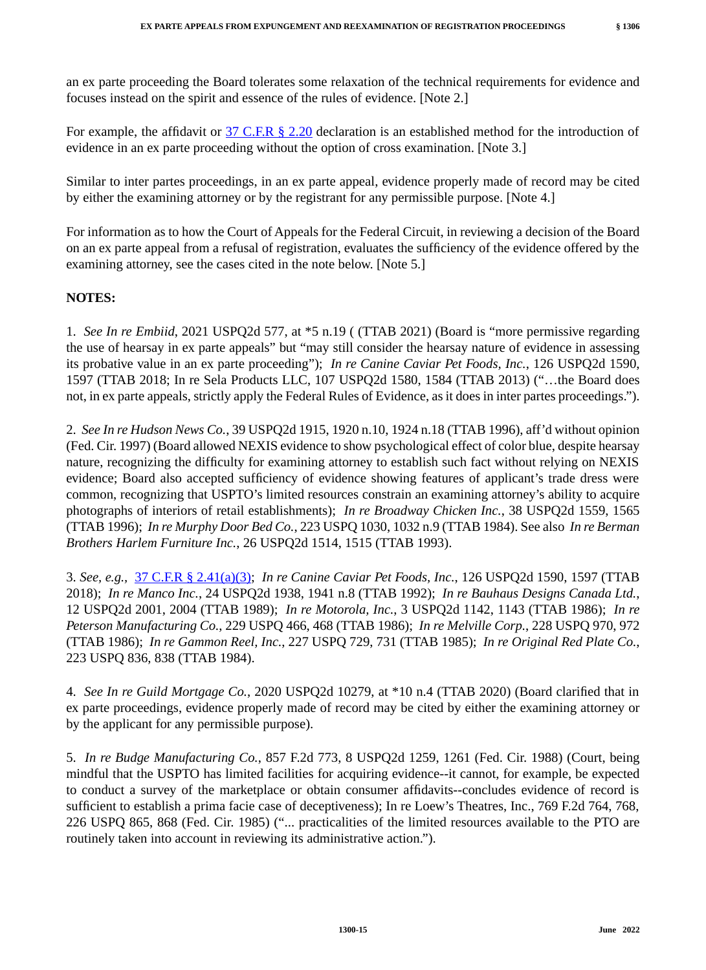an ex parte proceeding the Board tolerates some relaxation of the technical requirements for evidence and focuses instead on the spirit and essence of the rules of evidence. [Note 2.]

For example, the affidavit or 37 C.F.R § 2.20 declaration is an established method for the introduction of evidence in an ex parte proceeding without the option of cross examination. [Note 3.]

Similar to inter partes proceedings, in an ex parte appeal, evidence properly made of record may be cited by either the examining attorney or by the registrant for any permissible purpose. [Note 4.]

For information as to how the Court of Appeals for the Federal Circuit, in reviewing a decision of the Board on an ex parte appeal from a refusal of registration, evaluates the sufficiency of the evidence offered by the examining attorney, see the cases cited in the note below. [Note 5.]

#### **NOTES:**

1. *See In re Embiid*, 2021 USPQ2d 577, at \*5 n.19 ( (TTAB 2021) (Board is "more permissive regarding the use of hearsay in ex parte appeals" but "may still consider the hearsay nature of evidence in assessing its probative value in an ex parte proceeding"); *In re Canine Caviar Pet Foods, Inc.*, 126 USPQ2d 1590, 1597 (TTAB 2018; In re Sela Products LLC, 107 USPQ2d 1580, 1584 (TTAB 2013) ("…the Board does not, in ex parte appeals, strictly apply the Federal Rules of Evidence, as it does in inter partes proceedings.").

2. *See In re Hudson News Co.*, 39 USPQ2d 1915, 1920 n.10, 1924 n.18 (TTAB 1996), aff'd without opinion (Fed. Cir. 1997) (Board allowed NEXIS evidence to show psychological effect of color blue, despite hearsay nature, recognizing the difficulty for examining attorney to establish such fact without relying on NEXIS evidence; Board also accepted sufficiency of evidence showing features of applicant's trade dress were common, recognizing that USPTO's limited resources constrain an examining attorney's ability to acquire photographs of interiors of retail establishments); *In re Broadway Chicken Inc.*, 38 USPQ2d 1559, 1565 (TTAB 1996); *In re Murphy Door Bed Co.*, 223 USPQ 1030, 1032 n.9 (TTAB 1984). See also *In re Berman Brothers Harlem Furniture Inc.*, 26 USPQ2d 1514, 1515 (TTAB 1993).

3. *See, e.g.,* 37 C.F.R § 2.41(a)(3); *In re Canine Caviar Pet Foods, Inc.*, 126 USPQ2d 1590, 1597 (TTAB 2018); *In re Manco Inc.*, 24 USPQ2d 1938, 1941 n.8 (TTAB 1992); *In re Bauhaus Designs Canada Ltd.*, 12 USPQ2d 2001, 2004 (TTAB 1989); *In re Motorola, Inc.*, 3 USPQ2d 1142, 1143 (TTAB 1986); *In re Peterson Manufacturing Co.*, 229 USPQ 466, 468 (TTAB 1986); *In re Melville Corp.*, 228 USPQ 970, 972 (TTAB 1986); *In re Gammon Reel, Inc.*, 227 USPQ 729, 731 (TTAB 1985); *In re Original Red Plate Co.*, 223 USPQ 836, 838 (TTAB 1984).

4. *See In re Guild Mortgage Co.*, 2020 USPQ2d 10279, at \*10 n.4 (TTAB 2020) (Board clarified that in ex parte proceedings, evidence properly made of record may be cited by either the examining attorney or by the applicant for any permissible purpose).

5. *In re Budge Manufacturing Co.*, 857 F.2d 773, 8 USPQ2d 1259, 1261 (Fed. Cir. 1988) (Court, being mindful that the USPTO has limited facilities for acquiring evidence--it cannot, for example, be expected to conduct a survey of the marketplace or obtain consumer affidavits--concludes evidence of record is sufficient to establish a prima facie case of deceptiveness); In re Loew's Theatres, Inc., 769 F.2d 764, 768, 226 USPQ 865, 868 (Fed. Cir. 1985) ("... practicalities of the limited resources available to the PTO are routinely taken into account in reviewing its administrative action.").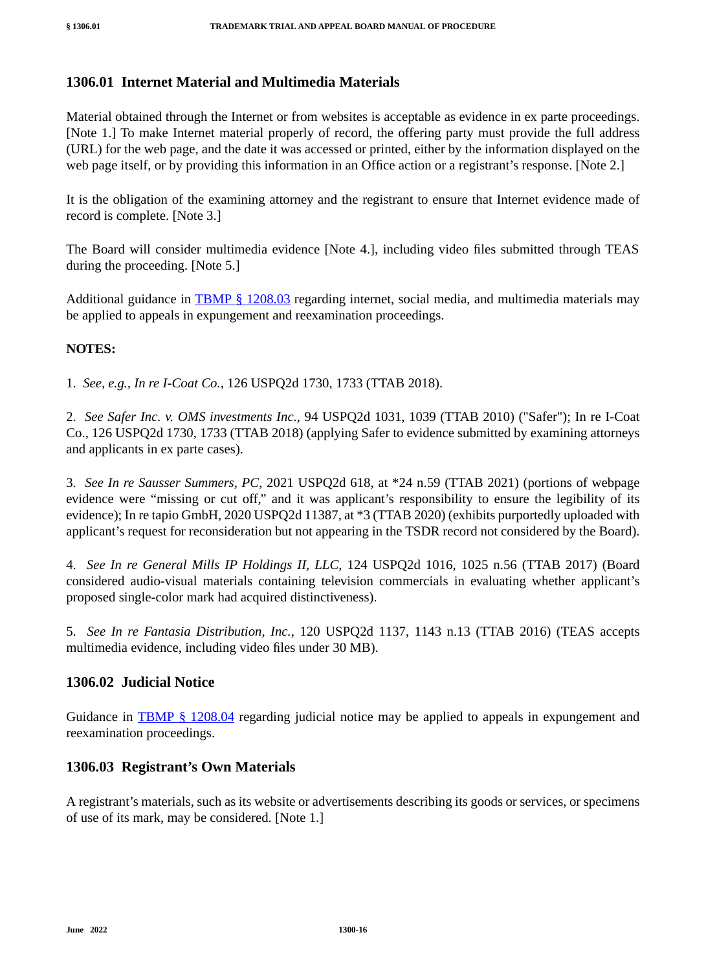# **1306.01 Internet Material and Multimedia Materials**

Material obtained through the Internet or from websites is acceptable as evidence in ex parte proceedings. [Note 1.] To make Internet material properly of record, the offering party must provide the full address (URL) for the web page, and the date it was accessed or printed, either by the information displayed on the web page itself, or by providing this information in an Office action or a registrant's response. [Note 2.]

It is the obligation of the examining attorney and the registrant to ensure that Internet evidence made of record is complete. [Note 3.]

The Board will consider multimedia evidence [Note 4.], including video files submitted through TEAS during the proceeding. [Note 5.]

Additional guidance in TBMP § 1208.03 regarding internet, social media, and multimedia materials may be applied to appeals in expungement and reexamination proceedings.

#### **NOTES:**

1. *See, e.g., In re I-Coat Co.*, 126 USPQ2d 1730, 1733 (TTAB 2018).

2. *See Safer Inc. v. OMS investments Inc.*, 94 USPQ2d 1031, 1039 (TTAB 2010) ("Safer"); In re I-Coat Co., 126 USPQ2d 1730, 1733 (TTAB 2018) (applying Safer to evidence submitted by examining attorneys and applicants in ex parte cases).

3. *See In re Sausser Summers, PC*, 2021 USPQ2d 618, at \*24 n.59 (TTAB 2021) (portions of webpage evidence were "missing or cut off," and it was applicant's responsibility to ensure the legibility of its evidence); In re tapio GmbH, 2020 USPQ2d 11387, at \*3 (TTAB 2020) (exhibits purportedly uploaded with applicant's request for reconsideration but not appearing in the TSDR record not considered by the Board).

4. *See In re General Mills IP Holdings II, LLC*, 124 USPQ2d 1016, 1025 n.56 (TTAB 2017) (Board considered audio-visual materials containing television commercials in evaluating whether applicant's proposed single-color mark had acquired distinctiveness).

5. *See In re Fantasia Distribution, Inc.*, 120 USPQ2d 1137, 1143 n.13 (TTAB 2016) (TEAS accepts multimedia evidence, including video files under 30 MB).

## **1306.02 Judicial Notice**

Guidance in TBMP § 1208.04 regarding judicial notice may be applied to appeals in expungement and reexamination proceedings.

## **1306.03 Registrant's Own Materials**

A registrant's materials, such as its website or advertisements describing its goods or services, or specimens of use of its mark, may be considered. [Note 1.]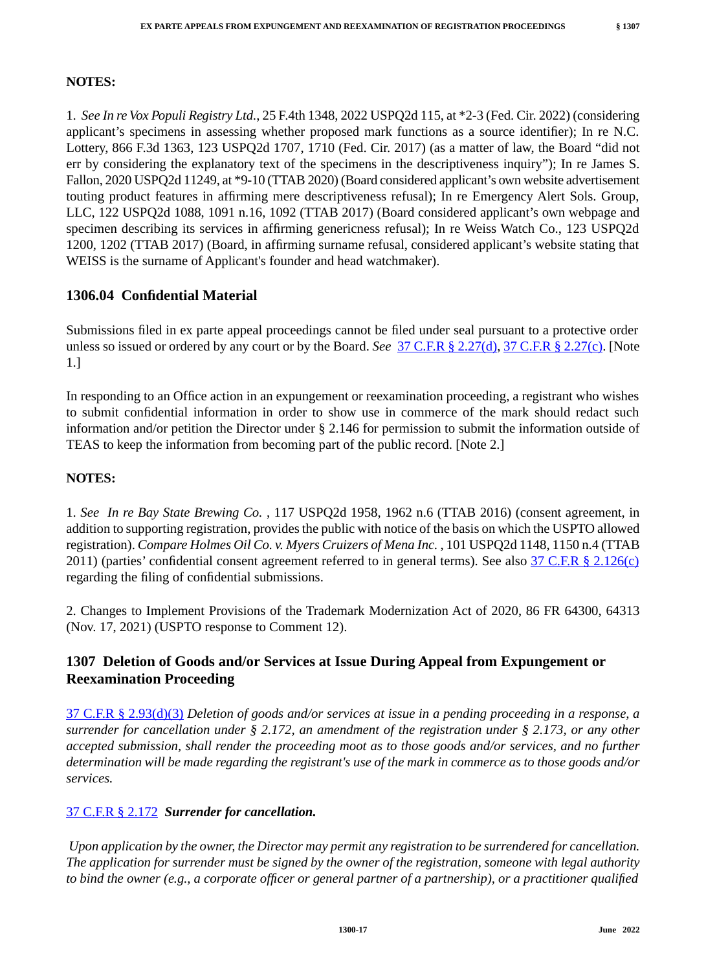# **NOTES:**

1. *See In re Vox Populi Registry Ltd.*, 25 F.4th 1348, 2022 USPQ2d 115, at \*2-3 (Fed. Cir. 2022) (considering applicant's specimens in assessing whether proposed mark functions as a source identifier); In re N.C. Lottery, 866 F.3d 1363, 123 USPQ2d 1707, 1710 (Fed. Cir. 2017) (as a matter of law, the Board "did not err by considering the explanatory text of the specimens in the descriptiveness inquiry"); In re James S. Fallon, 2020 USPQ2d 11249, at \*9-10 (TTAB 2020) (Board considered applicant's own website advertisement touting product features in affirming mere descriptiveness refusal); In re Emergency Alert Sols. Group, LLC, 122 USPQ2d 1088, 1091 n.16, 1092 (TTAB 2017) (Board considered applicant's own webpage and specimen describing its services in affirming genericness refusal); In re Weiss Watch Co., 123 USPQ2d 1200, 1202 (TTAB 2017) (Board, in affirming surname refusal, considered applicant's website stating that WEISS is the surname of Applicant's founder and head watchmaker).

# **1306.04 Confidential Material**

Submissions filed in ex parte appeal proceedings cannot be filed under seal pursuant to a protective order unless so issued or ordered by any court or by the Board. *See* 37 C.F.R § 2.27(d), 37 C.F.R § 2.27(c). [Note 1.]

In responding to an Office action in an expungement or reexamination proceeding, a registrant who wishes to submit confidential information in order to show use in commerce of the mark should redact such information and/or petition the Director under § 2.146 for permission to submit the information outside of TEAS to keep the information from becoming part of the public record. [Note 2.]

## **NOTES:**

1. *See In re Bay State Brewing Co.* , 117 USPQ2d 1958, 1962 n.6 (TTAB 2016) (consent agreement, in addition to supporting registration, provides the public with notice of the basis on which the USPTO allowed registration). *Compare Holmes Oil Co. v. Myers Cruizers of Mena Inc.* , 101 USPQ2d 1148, 1150 n.4 (TTAB 2011) (parties' confidential consent agreement referred to in general terms). See also  $37 \text{ C.F.R }$  §  $2.126(c)$ regarding the filing of confidential submissions.

2. Changes to Implement Provisions of the Trademark Modernization Act of 2020, 86 FR 64300, 64313 (Nov. 17, 2021) (USPTO response to Comment 12).

# **1307 Deletion of Goods and/or Services at Issue During Appeal from Expungement or Reexamination Proceeding**

37 C.F.R § 2.93(d)(3) *Deletion of goods and/or services at issue in a pending proceeding in a response, a surrender for cancellation under § 2.172, an amendment of the registration under § 2.173, or any other accepted submission, shall render the proceeding moot as to those goods and/or services, and no further determination will be made regarding the registrant's use of the mark in commerce as to those goods and/or services.*

## 37 C.F.R § 2.172 *Surrender for cancellation.*

*Upon application by the owner, the Director may permit any registration to be surrendered for cancellation. The application for surrender must be signed by the owner of the registration, someone with legal authority to bind the owner (e.g., a corporate officer or general partner of a partnership), or a practitioner qualified*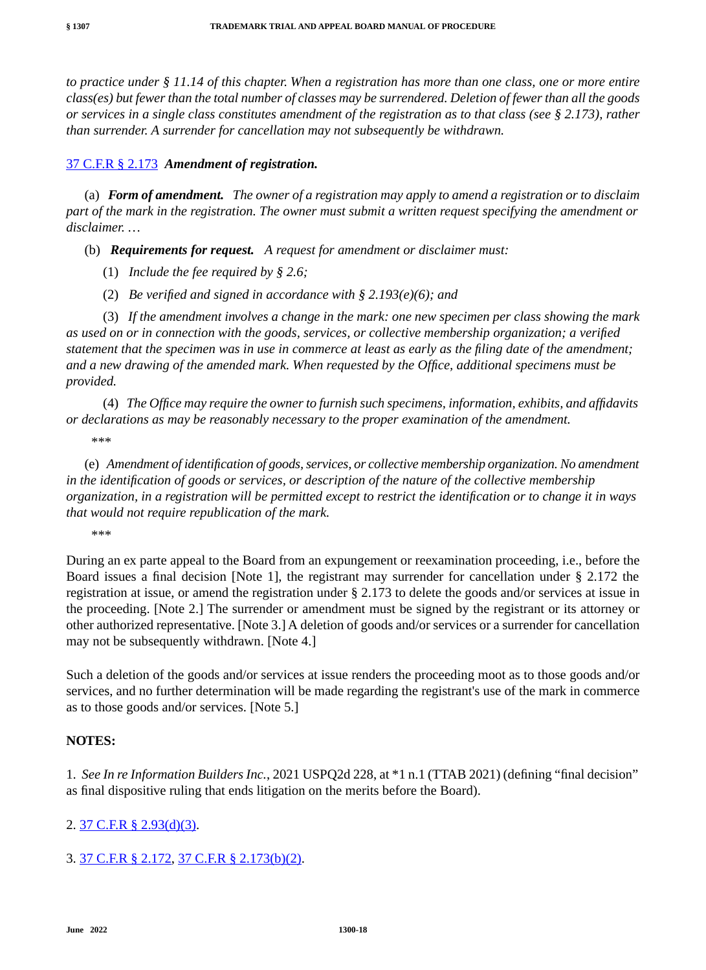*to practice under § 11.14 of this chapter. When a registration has more than one class, one or more entire class(es) but fewer than the total number of classes may be surrendered. Deletion of fewer than all the goods or services in a single class constitutes amendment of the registration as to that class (see § 2.173), rather than surrender. A surrender for cancellation may not subsequently be withdrawn.*

## 37 C.F.R § 2.173 *Amendment of registration.*

(a) *Form of amendment. The owner of a registration may apply to amend a registration or to disclaim part of the mark in the registration. The owner must submit a written request specifying the amendment or disclaimer. …*

(b) *Requirements for request. A request for amendment or disclaimer must:*

- (1) *Include the fee required by § 2.6;*
- (2) *Be verified and signed in accordance with § 2.193(e)(6); and*

(3) *If the amendment involves a change in the mark: one new specimen per class showing the mark as used on or in connection with the goods, services, or collective membership organization; a verified statement that the specimen was in use in commerce at least as early as the filing date of the amendment; and a new drawing of the amended mark. When requested by the Office, additional specimens must be provided.*

(4) *The Office may require the owner to furnish such specimens, information, exhibits, and affidavits or declarations as may be reasonably necessary to the proper examination of the amendment.* \*\*\*

(e) *Amendment of identification of goods, services, or collective membership organization. No amendment in the identification of goods or services, or description of the nature of the collective membership organization, in a registration will be permitted except to restrict the identification or to change it in ways that would not require republication of the mark.*

\*\*\*

During an ex parte appeal to the Board from an expungement or reexamination proceeding, i.e., before the Board issues a final decision [Note 1], the registrant may surrender for cancellation under § 2.172 the registration at issue, or amend the registration under § 2.173 to delete the goods and/or services at issue in the proceeding. [Note 2.] The surrender or amendment must be signed by the registrant or its attorney or other authorized representative. [Note 3.] A deletion of goods and/or services or a surrender for cancellation may not be subsequently withdrawn. [Note 4.]

Such a deletion of the goods and/or services at issue renders the proceeding moot as to those goods and/or services, and no further determination will be made regarding the registrant's use of the mark in commerce as to those goods and/or services. [Note 5.]

## **NOTES:**

1. *See In re Information Builders Inc.*, 2021 USPQ2d 228, at \*1 n.1 (TTAB 2021) (defining "final decision" as final dispositive ruling that ends litigation on the merits before the Board).

## 2. 37 C.F.R § 2.93(d)(3).

# 3. 37 C.F.R § 2.172, 37 C.F.R § 2.173(b)(2).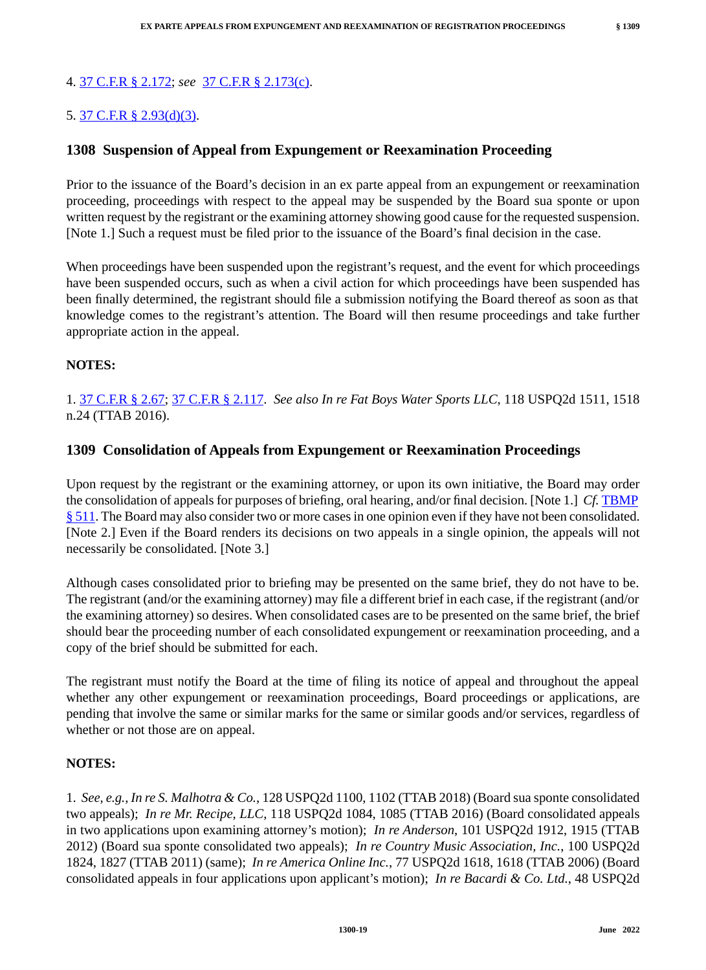# 4. 37 C.F.R § 2.172; *see* 37 C.F.R § 2.173(c).

# 5. 37 C.F.R § 2.93(d)(3).

## **1308 Suspension of Appeal from Expungement or Reexamination Proceeding**

Prior to the issuance of the Board's decision in an ex parte appeal from an expungement or reexamination proceeding, proceedings with respect to the appeal may be suspended by the Board sua sponte or upon written request by the registrant or the examining attorney showing good cause for the requested suspension. [Note 1.] Such a request must be filed prior to the issuance of the Board's final decision in the case.

When proceedings have been suspended upon the registrant's request, and the event for which proceedings have been suspended occurs, such as when a civil action for which proceedings have been suspended has been finally determined, the registrant should file a submission notifying the Board thereof as soon as that knowledge comes to the registrant's attention. The Board will then resume proceedings and take further appropriate action in the appeal.

## **NOTES:**

1. 37 C.F.R § 2.67; 37 C.F.R § 2.117. *See also In re Fat Boys Water Sports LLC*, 118 USPQ2d 1511, 1518 n.24 (TTAB 2016).

## **1309 Consolidation of Appeals from Expungement or Reexamination Proceedings**

Upon request by the registrant or the examining attorney, or upon its own initiative, the Board may order the consolidation of appeals for purposes of briefing, oral hearing, and/or final decision. [Note 1.] *Cf.* TBMP § 511. The Board may also consider two or more cases in one opinion even if they have not been consolidated. [Note 2.] Even if the Board renders its decisions on two appeals in a single opinion, the appeals will not necessarily be consolidated. [Note 3.]

Although cases consolidated prior to briefing may be presented on the same brief, they do not have to be. The registrant (and/or the examining attorney) may file a different brief in each case, if the registrant (and/or the examining attorney) so desires. When consolidated cases are to be presented on the same brief, the brief should bear the proceeding number of each consolidated expungement or reexamination proceeding, and a copy of the brief should be submitted for each.

The registrant must notify the Board at the time of filing its notice of appeal and throughout the appeal whether any other expungement or reexamination proceedings, Board proceedings or applications, are pending that involve the same or similar marks for the same or similar goods and/or services, regardless of whether or not those are on appeal.

#### **NOTES:**

1. *See, e.g., In re S. Malhotra & Co.*, 128 USPQ2d 1100, 1102 (TTAB 2018) (Board sua sponte consolidated two appeals); *In re Mr. Recipe, LLC*, 118 USPQ2d 1084, 1085 (TTAB 2016) (Board consolidated appeals in two applications upon examining attorney's motion); *In re Anderson*, 101 USPQ2d 1912, 1915 (TTAB 2012) (Board sua sponte consolidated two appeals); *In re Country Music Association, Inc.*, 100 USPQ2d 1824, 1827 (TTAB 2011) (same); *In re America Online Inc.*, 77 USPQ2d 1618, 1618 (TTAB 2006) (Board consolidated appeals in four applications upon applicant's motion); *In re Bacardi & Co. Ltd.*, 48 USPQ2d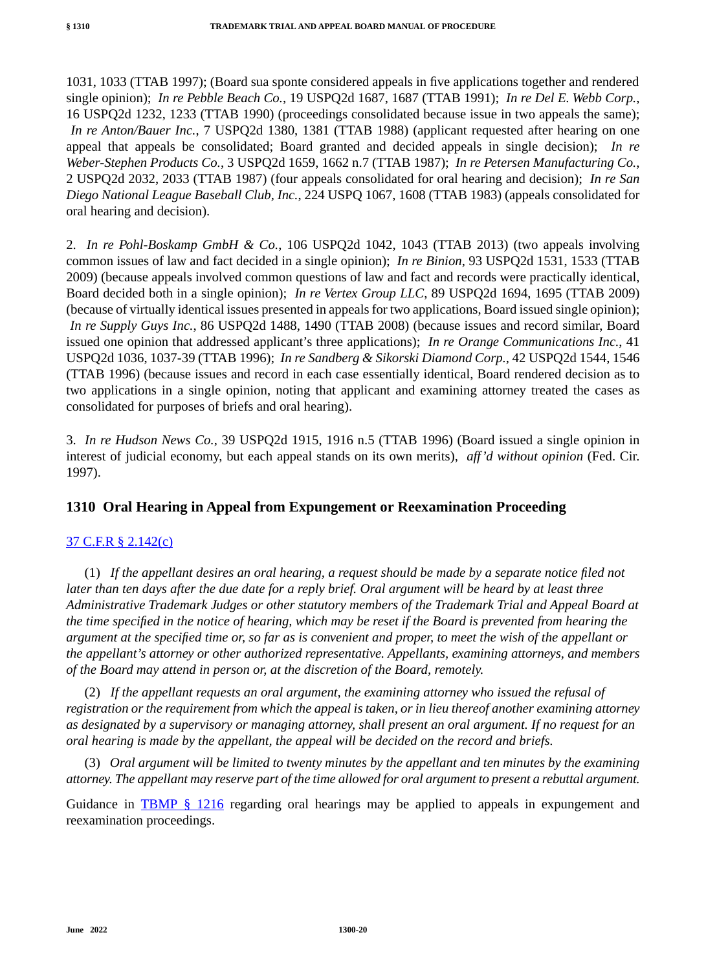1031, 1033 (TTAB 1997); (Board sua sponte considered appeals in five applications together and rendered single opinion); *In re Pebble Beach Co.*, 19 USPQ2d 1687, 1687 (TTAB 1991); *In re Del E. Webb Corp.*, 16 USPQ2d 1232, 1233 (TTAB 1990) (proceedings consolidated because issue in two appeals the same); *In re Anton/Bauer Inc.*, 7 USPQ2d 1380, 1381 (TTAB 1988) (applicant requested after hearing on one appeal that appeals be consolidated; Board granted and decided appeals in single decision); *In re Weber-Stephen Products Co.*, 3 USPQ2d 1659, 1662 n.7 (TTAB 1987); *In re Petersen Manufacturing Co.*, 2 USPQ2d 2032, 2033 (TTAB 1987) (four appeals consolidated for oral hearing and decision); *In re San Diego National League Baseball Club, Inc.*, 224 USPQ 1067, 1608 (TTAB 1983) (appeals consolidated for oral hearing and decision).

2. *In re Pohl-Boskamp GmbH & Co.*, 106 USPQ2d 1042, 1043 (TTAB 2013) (two appeals involving common issues of law and fact decided in a single opinion); *In re Binion*, 93 USPQ2d 1531, 1533 (TTAB 2009) (because appeals involved common questions of law and fact and records were practically identical, Board decided both in a single opinion); *In re Vertex Group LLC*, 89 USPQ2d 1694, 1695 (TTAB 2009) (because of virtually identical issues presented in appeals for two applications, Board issued single opinion); *In re Supply Guys Inc.*, 86 USPQ2d 1488, 1490 (TTAB 2008) (because issues and record similar, Board issued one opinion that addressed applicant's three applications); *In re Orange Communications Inc.*, 41 USPQ2d 1036, 1037-39 (TTAB 1996); *In re Sandberg & Sikorski Diamond Corp.*, 42 USPQ2d 1544, 1546 (TTAB 1996) (because issues and record in each case essentially identical, Board rendered decision as to two applications in a single opinion, noting that applicant and examining attorney treated the cases as consolidated for purposes of briefs and oral hearing).

3. *In re Hudson News Co.*, 39 USPQ2d 1915, 1916 n.5 (TTAB 1996) (Board issued a single opinion in interest of judicial economy, but each appeal stands on its own merits), *aff'd without opinion* (Fed. Cir. 1997).

# **1310 Oral Hearing in Appeal from Expungement or Reexamination Proceeding**

## 37 C.F.R § 2.142(c)

(1) *If the appellant desires an oral hearing, a request should be made by a separate notice filed not later than ten days after the due date for a reply brief. Oral argument will be heard by at least three Administrative Trademark Judges or other statutory members of the Trademark Trial and Appeal Board at the time specified in the notice of hearing, which may be reset if the Board is prevented from hearing the argument at the specified time or, so far as is convenient and proper, to meet the wish of the appellant or the appellant's attorney or other authorized representative. Appellants, examining attorneys, and members of the Board may attend in person or, at the discretion of the Board, remotely.*

(2) *If the appellant requests an oral argument, the examining attorney who issued the refusal of registration or the requirement from which the appeal is taken, or in lieu thereof another examining attorney as designated by a supervisory or managing attorney, shall present an oral argument. If no request for an oral hearing is made by the appellant, the appeal will be decided on the record and briefs.*

(3) *Oral argument will be limited to twenty minutes by the appellant and ten minutes by the examining attorney. The appellant may reserve part of the time allowed for oral argument to present a rebuttal argument.*

Guidance in TBMP § 1216 regarding oral hearings may be applied to appeals in expungement and reexamination proceedings.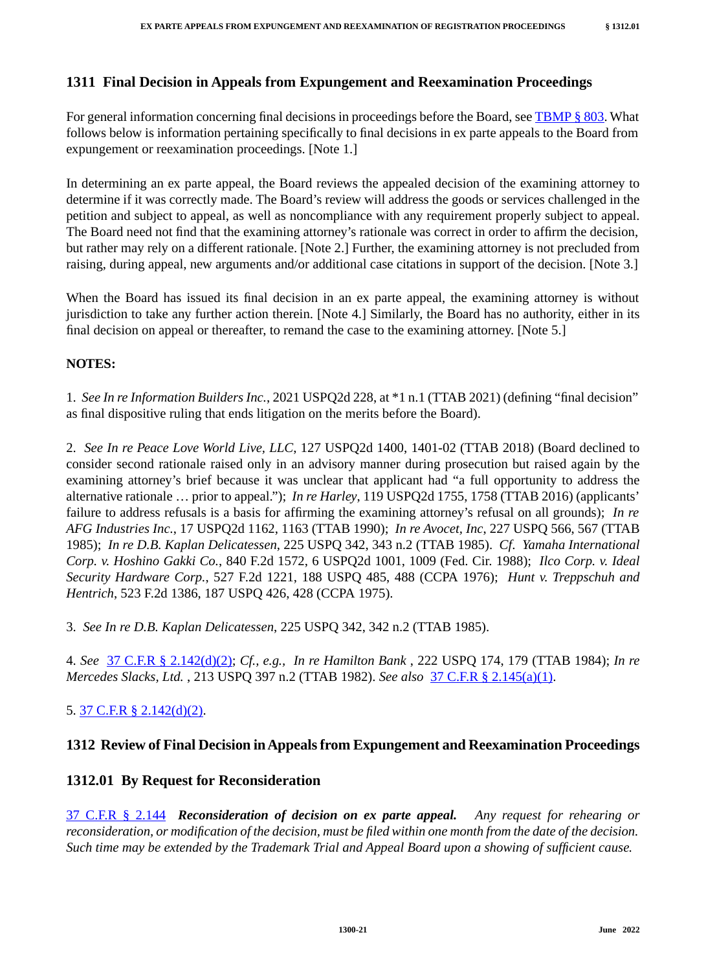# **1311 Final Decision in Appeals from Expungement and Reexamination Proceedings**

For general information concerning final decisions in proceedings before the Board, see TBMP § 803. What follows below is information pertaining specifically to final decisions in ex parte appeals to the Board from expungement or reexamination proceedings. [Note 1.]

In determining an ex parte appeal, the Board reviews the appealed decision of the examining attorney to determine if it was correctly made. The Board's review will address the goods or services challenged in the petition and subject to appeal, as well as noncompliance with any requirement properly subject to appeal. The Board need not find that the examining attorney's rationale was correct in order to affirm the decision, but rather may rely on a different rationale. [Note 2.] Further, the examining attorney is not precluded from raising, during appeal, new arguments and/or additional case citations in support of the decision. [Note 3.]

When the Board has issued its final decision in an ex parte appeal, the examining attorney is without jurisdiction to take any further action therein. [Note 4.] Similarly, the Board has no authority, either in its final decision on appeal or thereafter, to remand the case to the examining attorney. [Note 5.]

# **NOTES:**

1. *See In re Information Builders Inc.*, 2021 USPQ2d 228, at \*1 n.1 (TTAB 2021) (defining "final decision" as final dispositive ruling that ends litigation on the merits before the Board).

2. *See In re Peace Love World Live, LLC*, 127 USPQ2d 1400, 1401-02 (TTAB 2018) (Board declined to consider second rationale raised only in an advisory manner during prosecution but raised again by the examining attorney's brief because it was unclear that applicant had "a full opportunity to address the alternative rationale … prior to appeal."); *In re Harley*, 119 USPQ2d 1755, 1758 (TTAB 2016) (applicants' failure to address refusals is a basis for affirming the examining attorney's refusal on all grounds); *In re AFG Industries Inc.*, 17 USPQ2d 1162, 1163 (TTAB 1990); *In re Avocet, Inc*, 227 USPQ 566, 567 (TTAB 1985); *In re D.B. Kaplan Delicatessen*, 225 USPQ 342, 343 n.2 (TTAB 1985). *Cf*. *Yamaha International Corp. v. Hoshino Gakki Co.*, 840 F.2d 1572, 6 USPQ2d 1001, 1009 (Fed. Cir. 1988); *Ilco Corp. v. Ideal Security Hardware Corp.*, 527 F.2d 1221, 188 USPQ 485, 488 (CCPA 1976); *Hunt v. Treppschuh and Hentrich*, 523 F.2d 1386, 187 USPQ 426, 428 (CCPA 1975).

3. *See In re D.B. Kaplan Delicatessen*, 225 USPQ 342, 342 n.2 (TTAB 1985).

4. *See* 37 C.F.R § 2.142(d)(2); *Cf., e.g., In re Hamilton Bank* , 222 USPQ 174, 179 (TTAB 1984); *In re Mercedes Slacks, Ltd.* , 213 USPQ 397 n.2 (TTAB 1982). *See also* 37 C.F.R § 2.145(a)(1).

# 5. 37 C.F.R § 2.142(d)(2).

# **1312 Review of Final Decision in Appeals from Expungement and Reexamination Proceedings**

# **1312.01 By Request for Reconsideration**

37 C.F.R § 2.144 *Reconsideration of decision on ex parte appeal. Any request for rehearing or reconsideration, or modification of the decision, must be filed within one month from the date of the decision. Such time may be extended by the Trademark Trial and Appeal Board upon a showing of sufficient cause.*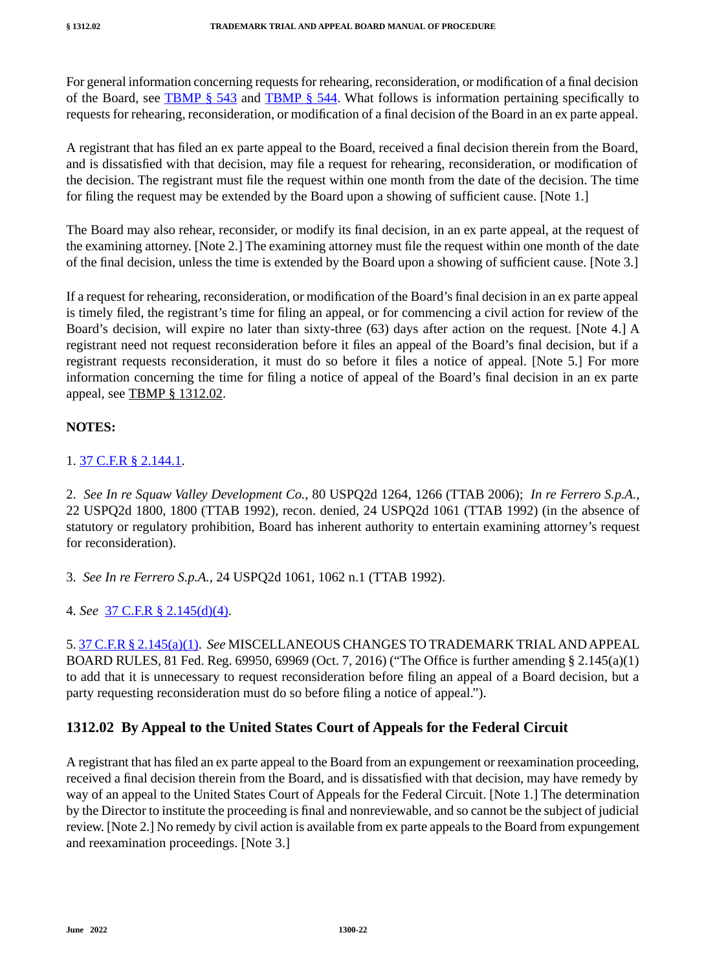For general information concerning requests for rehearing, reconsideration, or modification of a final decision of the Board, see TBMP  $\S$  543 and TBMP  $\S$  544. What follows is information pertaining specifically to requests for rehearing, reconsideration, or modification of a final decision of the Board in an ex parte appeal.

A registrant that has filed an ex parte appeal to the Board, received a final decision therein from the Board, and is dissatisfied with that decision, may file a request for rehearing, reconsideration, or modification of the decision. The registrant must file the request within one month from the date of the decision. The time for filing the request may be extended by the Board upon a showing of sufficient cause. [Note 1.]

The Board may also rehear, reconsider, or modify its final decision, in an ex parte appeal, at the request of the examining attorney. [Note 2.] The examining attorney must file the request within one month of the date of the final decision, unless the time is extended by the Board upon a showing of sufficient cause. [Note 3.]

If a request for rehearing, reconsideration, or modification of the Board's final decision in an ex parte appeal is timely filed, the registrant's time for filing an appeal, or for commencing a civil action for review of the Board's decision, will expire no later than sixty-three (63) days after action on the request. [Note 4.] A registrant need not request reconsideration before it files an appeal of the Board's final decision, but if a registrant requests reconsideration, it must do so before it files a notice of appeal. [Note 5.] For more information concerning the time for filing a notice of appeal of the Board's final decision in an ex parte appeal, see TBMP § 1312.02.

# **NOTES:**

## 1. 37 C.F.R § 2.144.1.

2. *See In re Squaw Valley Development Co.*, 80 USPQ2d 1264, 1266 (TTAB 2006); *In re Ferrero S.p.A.*, 22 USPQ2d 1800, 1800 (TTAB 1992), recon. denied, 24 USPQ2d 1061 (TTAB 1992) (in the absence of statutory or regulatory prohibition, Board has inherent authority to entertain examining attorney's request for reconsideration).

3. *See In re Ferrero S.p.A.*, 24 USPQ2d 1061, 1062 n.1 (TTAB 1992).

4. *See* 37 C.F.R § 2.145(d)(4).

5. 37 C.F.R § 2.145(a)(1). *See* MISCELLANEOUS CHANGES TO TRADEMARK TRIAL AND APPEAL BOARD RULES, 81 Fed. Reg. 69950, 69969 (Oct. 7, 2016) ("The Office is further amending § 2.145(a)(1) to add that it is unnecessary to request reconsideration before filing an appeal of a Board decision, but a party requesting reconsideration must do so before filing a notice of appeal.").

# **1312.02 By Appeal to the United States Court of Appeals for the Federal Circuit**

A registrant that has filed an ex parte appeal to the Board from an expungement or reexamination proceeding, received a final decision therein from the Board, and is dissatisfied with that decision, may have remedy by way of an appeal to the United States Court of Appeals for the Federal Circuit. [Note 1.] The determination by the Director to institute the proceeding is final and nonreviewable, and so cannot be the subject of judicial review. [Note 2.] No remedy by civil action is available from ex parte appeals to the Board from expungement and reexamination proceedings. [Note 3.]